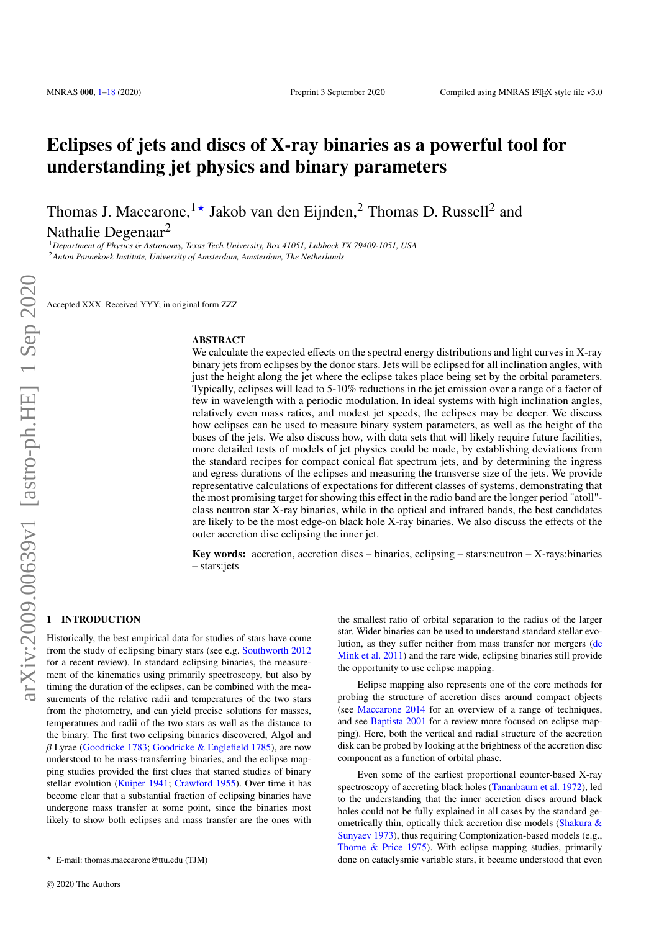# Eclipses of jets and discs of X-ray binaries as a powerful tool for understanding jet physics and binary parameters

Thomas J. Maccarone,  $1\star$  Jakob van den Eijnden,  $2$  Thomas D. Russell<sup>2</sup> and

Nathalie Degenaar<sup>2</sup>

<sup>1</sup>*Department of Physics* & *Astronomy, Texas Tech University, Box 41051, Lubbock TX 79409-1051, USA* <sup>2</sup>*Anton Pannekoek Institute, University of Amsterdam, Amsterdam, The Netherlands*

Accepted XXX. Received YYY; in original form ZZZ

#### ABSTRACT

We calculate the expected effects on the spectral energy distributions and light curves in X-ray binary jets from eclipses by the donor stars. Jets will be eclipsed for all inclination angles, with just the height along the jet where the eclipse takes place being set by the orbital parameters. Typically, eclipses will lead to 5-10% reductions in the jet emission over a range of a factor of few in wavelength with a periodic modulation. In ideal systems with high inclination angles, relatively even mass ratios, and modest jet speeds, the eclipses may be deeper. We discuss how eclipses can be used to measure binary system parameters, as well as the height of the bases of the jets. We also discuss how, with data sets that will likely require future facilities, more detailed tests of models of jet physics could be made, by establishing deviations from the standard recipes for compact conical flat spectrum jets, and by determining the ingress and egress durations of the eclipses and measuring the transverse size of the jets. We provide representative calculations of expectations for different classes of systems, demonstrating that the most promising target for showing this effect in the radio band are the longer period "atoll" class neutron star X-ray binaries, while in the optical and infrared bands, the best candidates are likely to be the most edge-on black hole X-ray binaries. We also discuss the effects of the outer accretion disc eclipsing the inner jet.

Key words: accretion, accretion discs – binaries, eclipsing – stars:neutron – X-rays: binaries – stars:jets

#### <span id="page-0-0"></span>1 INTRODUCTION

Historically, the best empirical data for studies of stars have come from the study of eclipsing binary stars (see e.g. [Southworth](#page-17-0) [2012](#page-17-0) for a recent review). In standard eclipsing binaries, the measurement of the kinematics using primarily spectroscopy, but also by timing the duration of the eclipses, can be combined with the measurements of the relative radii and temperatures of the two stars from the photometry, and can yield precise solutions for masses, temperatures and radii of the two stars as well as the distance to the binary. The first two eclipsing binaries discovered, Algol and β Lyrae [\(Goodricke](#page-16-0) [1783;](#page-16-0) [Goodricke & Englefield](#page-16-1) [1785\)](#page-16-1), are now understood to be mass-transferring binaries, and the eclipse mapping studies provided the first clues that started studies of binary stellar evolution [\(Kuiper](#page-16-2) [1941;](#page-16-2) [Crawford](#page-16-3) [1955\)](#page-16-3). Over time it has become clear that a substantial fraction of eclipsing binaries have undergone mass transfer at some point, since the binaries most likely to show both eclipses and mass transfer are the ones with

the smallest ratio of orbital separation to the radius of the larger star. Wider binaries can be used to understand standard stellar evolution, as they suffer neither from mass transfer nor mergers [\(de](#page-17-1) [Mink et al.](#page-17-1) [2011\)](#page-17-1) and the rare wide, eclipsing binaries still provide the opportunity to use eclipse mapping.

Eclipse mapping also represents one of the core methods for probing the structure of accretion discs around compact objects (see [Maccarone](#page-16-4) [2014](#page-16-4) for an overview of a range of techniques, and see [Baptista](#page-15-1) [2001](#page-15-1) for a review more focused on eclipse mapping). Here, both the vertical and radial structure of the accretion disk can be probed by looking at the brightness of the accretion disc component as a function of orbital phase.

Even some of the earliest proportional counter-based X-ray spectroscopy of accreting black holes [\(Tananbaum et al.](#page-17-2) [1972\)](#page-17-2), led to the understanding that the inner accretion discs around black holes could not be fully explained in all cases by the standard geometrically thin, optically thick accretion disc models [\(Shakura &](#page-17-3) [Sunyaev](#page-17-3) [1973\)](#page-17-3), thus requiring Comptonization-based models (e.g., [Thorne & Price](#page-17-4) [1975\)](#page-17-4). With eclipse mapping studies, primarily done on cataclysmic variable stars, it became understood that even

<sup>?</sup> E-mail: thomas.maccarone@ttu.edu (TJM)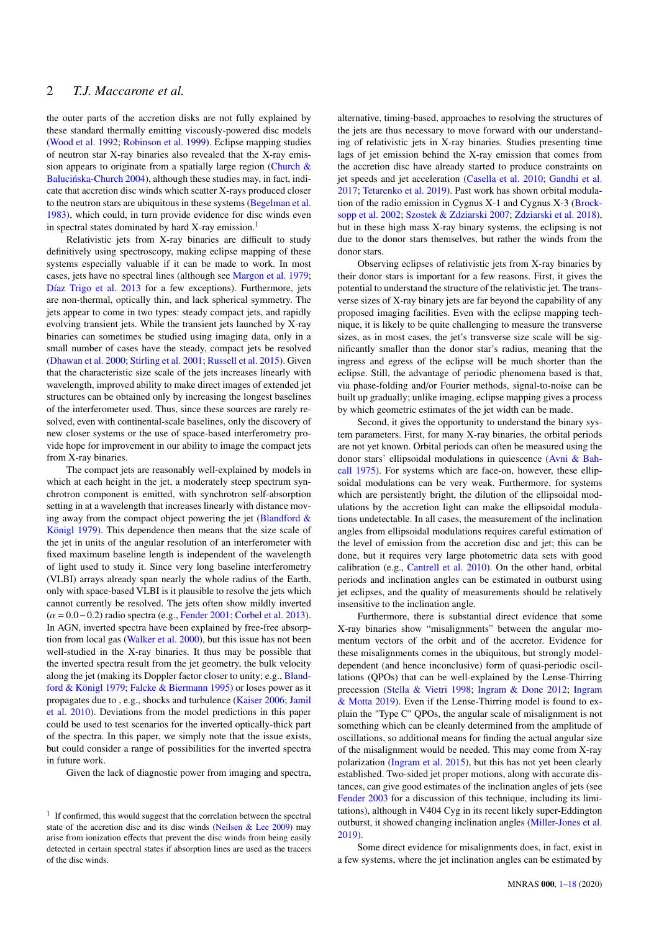the outer parts of the accretion disks are not fully explained by these standard thermally emitting viscously-powered disc models [\(Wood et al.](#page-17-5) [1992;](#page-17-5) [Robinson et al.](#page-16-5) [1999\)](#page-16-5). Eclipse mapping studies of neutron star X-ray binaries also revealed that the X-ray emission appears to originate from a spatially large region [\(Church &](#page-16-6) Bałucińska-Church [2004\)](#page-16-6), although these studies may, in fact, indicate that accretion disc winds which scatter X-rays produced closer to the neutron stars are ubiquitous in these systems [\(Begelman et al.](#page-15-2) [1983\)](#page-15-2), which could, in turn provide evidence for disc winds even in spectral states dominated by hard X-ray emission.<sup>[1](#page-1-0)</sup>

Relativistic jets from X-ray binaries are difficult to study definitively using spectroscopy, making eclipse mapping of these systems especially valuable if it can be made to work. In most cases, jets have no spectral lines (although see [Margon et al.](#page-16-7) [1979;](#page-16-7) [Díaz Trigo et al.](#page-16-8) [2013](#page-16-8) for a few exceptions). Furthermore, jets are non-thermal, optically thin, and lack spherical symmetry. The jets appear to come in two types: steady compact jets, and rapidly evolving transient jets. While the transient jets launched by X-ray binaries can sometimes be studied using imaging data, only in a small number of cases have the steady, compact jets be resolved [\(Dhawan et al.](#page-16-9) [2000;](#page-16-9) [Stirling et al.](#page-17-6) [2001;](#page-17-6) [Russell et al.](#page-16-10) [2015\)](#page-16-10). Given that the characteristic size scale of the jets increases linearly with wavelength, improved ability to make direct images of extended jet structures can be obtained only by increasing the longest baselines of the interferometer used. Thus, since these sources are rarely resolved, even with continental-scale baselines, only the discovery of new closer systems or the use of space-based interferometry provide hope for improvement in our ability to image the compact jets from X-ray binaries.

The compact jets are reasonably well-explained by models in which at each height in the jet, a moderately steep spectrum synchrotron component is emitted, with synchrotron self-absorption setting in at a wavelength that increases linearly with distance moving away from the compact object powering the jet (Blandford  $\&$ [Königl](#page-15-3) [1979\)](#page-15-3). This dependence then means that the size scale of the jet in units of the angular resolution of an interferometer with fixed maximum baseline length is independent of the wavelength of light used to study it. Since very long baseline interferometry (VLBI) arrays already span nearly the whole radius of the Earth, only with space-based VLBI is it plausible to resolve the jets which cannot currently be resolved. The jets often show mildly inverted (α <sup>=</sup> <sup>0</sup>.0−0.2) radio spectra (e.g., [Fender](#page-16-11) [2001;](#page-16-11) [Corbel et al.](#page-16-12) [2013\)](#page-16-12). In AGN, inverted spectra have been explained by free-free absorption from local gas [\(Walker et al.](#page-17-7) [2000\)](#page-17-7), but this issue has not been well-studied in the X-ray binaries. It thus may be possible that the inverted spectra result from the jet geometry, the bulk velocity along the jet (making its Doppler factor closer to unity; e.g., [Bland](#page-15-3)[ford & Königl](#page-15-3) [1979;](#page-15-3) [Falcke & Biermann](#page-16-13) [1995\)](#page-16-13) or loses power as it propagates due to , e.g., shocks and turbulence [\(Kaiser](#page-16-14) [2006;](#page-16-14) [Jamil](#page-16-15) [et al.](#page-16-15) [2010\)](#page-16-15). Deviations from the model predictions in this paper could be used to test scenarios for the inverted optically-thick part of the spectra. In this paper, we simply note that the issue exists, but could consider a range of possibilities for the inverted spectra in future work.

Given the lack of diagnostic power from imaging and spectra,

alternative, timing-based, approaches to resolving the structures of the jets are thus necessary to move forward with our understanding of relativistic jets in X-ray binaries. Studies presenting time lags of jet emission behind the X-ray emission that comes from the accretion disc have already started to produce constraints on jet speeds and jet acceleration [\(Casella et al.](#page-16-17) [2010;](#page-16-17) [Gandhi et al.](#page-16-18) [2017;](#page-16-18) [Tetarenko et al.](#page-17-8) [2019\)](#page-17-8). Past work has shown orbital modulation of the radio emission in Cygnus X-1 and Cygnus X-3 [\(Brock](#page-15-4)[sopp et al.](#page-15-4) [2002;](#page-15-4) [Szostek & Zdziarski](#page-17-9) [2007;](#page-17-9) [Zdziarski et al.](#page-17-10) [2018\)](#page-17-10), but in these high mass X-ray binary systems, the eclipsing is not due to the donor stars themselves, but rather the winds from the donor stars.

Observing eclipses of relativistic jets from X-ray binaries by their donor stars is important for a few reasons. First, it gives the potential to understand the structure of the relativistic jet. The transverse sizes of X-ray binary jets are far beyond the capability of any proposed imaging facilities. Even with the eclipse mapping technique, it is likely to be quite challenging to measure the transverse sizes, as in most cases, the jet's transverse size scale will be significantly smaller than the donor star's radius, meaning that the ingress and egress of the eclipse will be much shorter than the eclipse. Still, the advantage of periodic phenomena based is that, via phase-folding and/or Fourier methods, signal-to-noise can be built up gradually; unlike imaging, eclipse mapping gives a process by which geometric estimates of the jet width can be made.

Second, it gives the opportunity to understand the binary system parameters. First, for many X-ray binaries, the orbital periods are not yet known. Orbital periods can often be measured using the donor stars' ellipsoidal modulations in quiescence [\(Avni & Bah](#page-15-5)[call](#page-15-5) [1975\)](#page-15-5). For systems which are face-on, however, these ellipsoidal modulations can be very weak. Furthermore, for systems which are persistently bright, the dilution of the ellipsoidal modulations by the accretion light can make the ellipsoidal modulations undetectable. In all cases, the measurement of the inclination angles from ellipsoidal modulations requires careful estimation of the level of emission from the accretion disc and jet; this can be done, but it requires very large photometric data sets with good calibration (e.g., [Cantrell et al.](#page-15-6) [2010\)](#page-15-6). On the other hand, orbital periods and inclination angles can be estimated in outburst using jet eclipses, and the quality of measurements should be relatively insensitive to the inclination angle.

Furthermore, there is substantial direct evidence that some X-ray binaries show "misalignments" between the angular momentum vectors of the orbit and of the accretor. Evidence for these misalignments comes in the ubiquitous, but strongly modeldependent (and hence inconclusive) form of quasi-periodic oscillations (QPOs) that can be well-explained by the Lense-Thirring precession [\(Stella & Vietri](#page-17-11) [1998;](#page-17-11) [Ingram & Done](#page-16-19) [2012;](#page-16-19) [Ingram](#page-16-20) [& Motta](#page-16-20) [2019\)](#page-16-20). Even if the Lense-Thirring model is found to explain the "Type C" QPOs, the angular scale of misalignment is not something which can be cleanly determined from the amplitude of oscillations, so additional means for finding the actual angular size of the misalignment would be needed. This may come from X-ray polarization [\(Ingram et al.](#page-16-21) [2015\)](#page-16-21), but this has not yet been clearly established. Two-sided jet proper motions, along with accurate distances, can give good estimates of the inclination angles of jets (see [Fender](#page-16-22) [2003](#page-16-22) for a discussion of this technique, including its limitations), although in V404 Cyg in its recent likely super-Eddington outburst, it showed changing inclination angles [\(Miller-Jones et al.](#page-16-23) [2019\)](#page-16-23).

Some direct evidence for misalignments does, in fact, exist in a few systems, where the jet inclination angles can be estimated by

<span id="page-1-0"></span><sup>&</sup>lt;sup>1</sup> If confirmed, this would suggest that the correlation between the spectral state of the accretion disc and its disc winds [\(Neilsen & Lee](#page-16-16) [2009\)](#page-16-16) may arise from ionization effects that prevent the disc winds from being easily detected in certain spectral states if absorption lines are used as the tracers of the disc winds.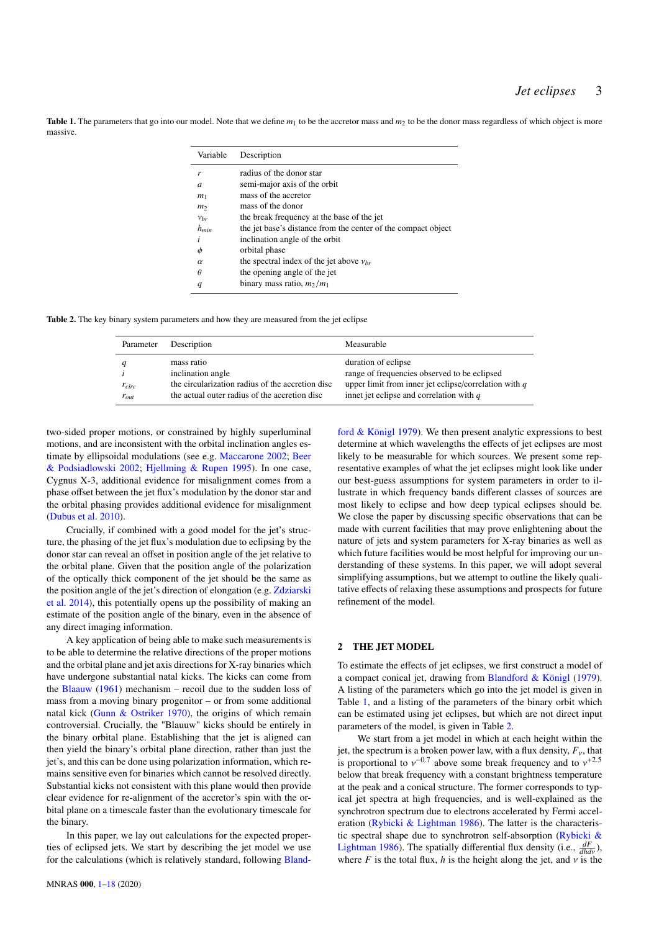<span id="page-2-0"></span>Table 1. The parameters that go into our model. Note that we define  $m_1$  to be the accretor mass and  $m_2$  to be the donor mass regardless of which object is more massive.

| Variable         | Description                                                   |
|------------------|---------------------------------------------------------------|
| r                | radius of the donor star                                      |
| $\boldsymbol{a}$ | semi-major axis of the orbit                                  |
| m <sub>1</sub>   | mass of the accretor                                          |
| m <sub>2</sub>   | mass of the donor                                             |
| $v_{hr}$         | the break frequency at the base of the jet                    |
| $h_{min}$        | the jet base's distance from the center of the compact object |
| i                | inclination angle of the orbit                                |
| Φ                | orbital phase                                                 |
| $\alpha$         | the spectral index of the jet above $v_{hr}$                  |
| $\theta$         | the opening angle of the jet                                  |
| q                | binary mass ratio, $m_2/m_1$                                  |

<span id="page-2-1"></span>Table 2. The key binary system parameters and how they are measured from the jet eclipse

| Parameter               | Description                                                                                                                          | Measurable                                                                                                                                                                   |
|-------------------------|--------------------------------------------------------------------------------------------------------------------------------------|------------------------------------------------------------------------------------------------------------------------------------------------------------------------------|
| $r_{circ}$<br>$r_{out}$ | mass ratio<br>inclination angle<br>the circularization radius of the accretion disc<br>the actual outer radius of the accretion disc | duration of eclipse<br>range of frequencies observed to be eclipsed<br>upper limit from inner jet eclipse/correlation with $q$<br>innet jet eclipse and correlation with $q$ |

two-sided proper motions, or constrained by highly superluminal motions, and are inconsistent with the orbital inclination angles estimate by ellipsoidal modulations (see e.g. [Maccarone](#page-16-24) [2002;](#page-16-24) [Beer](#page-15-7) [& Podsiadlowski](#page-15-7) [2002;](#page-15-7) [Hjellming & Rupen](#page-16-25) [1995\)](#page-16-25). In one case, Cygnus X-3, additional evidence for misalignment comes from a phase offset between the jet flux's modulation by the donor star and the orbital phasing provides additional evidence for misalignment [\(Dubus et al.](#page-16-26) [2010\)](#page-16-26).

Crucially, if combined with a good model for the jet's structure, the phasing of the jet flux's modulation due to eclipsing by the donor star can reveal an offset in position angle of the jet relative to the orbital plane. Given that the position angle of the polarization of the optically thick component of the jet should be the same as the position angle of the jet's direction of elongation (e.g. [Zdziarski](#page-17-12) [et al.](#page-17-12) [2014\)](#page-17-12), this potentially opens up the possibility of making an estimate of the position angle of the binary, even in the absence of any direct imaging information.

A key application of being able to make such measurements is to be able to determine the relative directions of the proper motions and the orbital plane and jet axis directions for X-ray binaries which have undergone substantial natal kicks. The kicks can come from the [Blaauw](#page-15-8)  $(1961)$  mechanism – recoil due to the sudden loss of mass from a moving binary progenitor – or from some additional natal kick [\(Gunn & Ostriker](#page-16-27) [1970\)](#page-16-27), the origins of which remain controversial. Crucially, the "Blauuw" kicks should be entirely in the binary orbital plane. Establishing that the jet is aligned can then yield the binary's orbital plane direction, rather than just the jet's, and this can be done using polarization information, which remains sensitive even for binaries which cannot be resolved directly. Substantial kicks not consistent with this plane would then provide clear evidence for re-alignment of the accretor's spin with the orbital plane on a timescale faster than the evolutionary timescale for the binary.

In this paper, we lay out calculations for the expected properties of eclipsed jets. We start by describing the jet model we use for the calculations (which is relatively standard, following [Bland-](#page-15-3)

[ford & Königl](#page-15-3) [1979\)](#page-15-3). We then present analytic expressions to best determine at which wavelengths the effects of jet eclipses are most likely to be measurable for which sources. We present some representative examples of what the jet eclipses might look like under our best-guess assumptions for system parameters in order to illustrate in which frequency bands different classes of sources are most likely to eclipse and how deep typical eclipses should be. We close the paper by discussing specific observations that can be made with current facilities that may prove enlightening about the nature of jets and system parameters for X-ray binaries as well as which future facilities would be most helpful for improving our understanding of these systems. In this paper, we will adopt several simplifying assumptions, but we attempt to outline the likely qualitative effects of relaxing these assumptions and prospects for future refinement of the model.

# 2 THE JET MODEL

To estimate the effects of jet eclipses, we first construct a model of a compact conical jet, drawing from [Blandford & Königl](#page-15-3) [\(1979\)](#page-15-3). A listing of the parameters which go into the jet model is given in Table [1,](#page-2-0) and a listing of the parameters of the binary orbit which can be estimated using jet eclipses, but which are not direct input parameters of the model, is given in Table [2.](#page-2-1)

We start from a jet model in which at each height within the jet, the spectrum is a broken power law, with a flux density,  $F_v$ , that is proportional to  $v^{-0.7}$  above some break frequency and to  $v^{+2.5}$ <br>below that break frequency with a constant brightness temperature below that break frequency with a constant brightness temperature at the peak and a conical structure. The former corresponds to typical jet spectra at high frequencies, and is well-explained as the synchrotron spectrum due to electrons accelerated by Fermi acceleration [\(Rybicki & Lightman](#page-16-28) [1986\)](#page-16-28). The latter is the characteristic spectral shape due to synchrotron self-absorption [\(Rybicki &](#page-16-28) [Lightman](#page-16-28) [1986\)](#page-16-28). The spatially differential flux density (i.e.,  $\frac{dF}{dhdv}$ ), *diameter F* is the total flux, *h* is the height along the jet, and *v* is the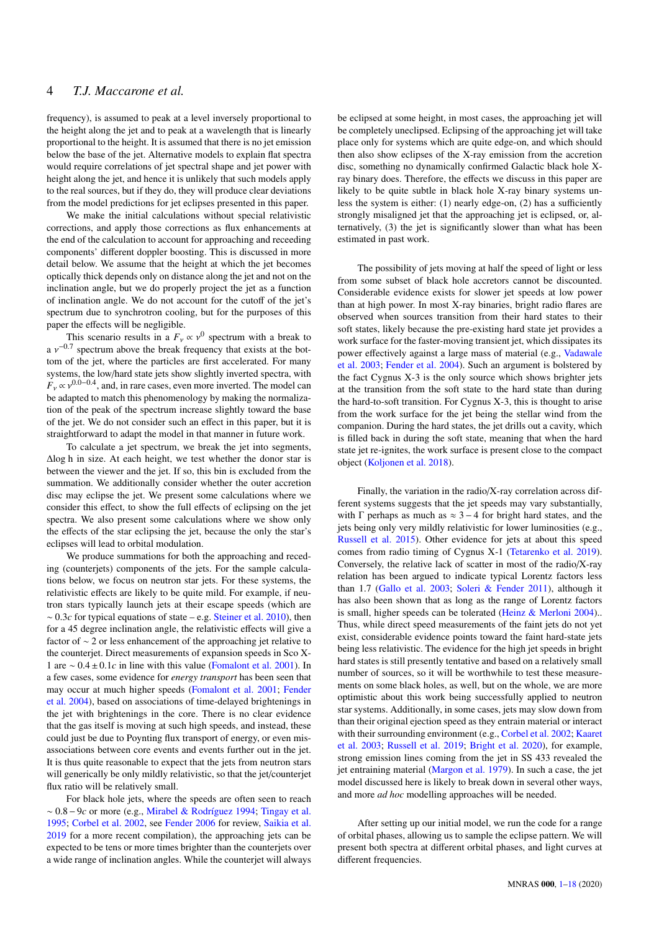frequency), is assumed to peak at a level inversely proportional to the height along the jet and to peak at a wavelength that is linearly proportional to the height. It is assumed that there is no jet emission below the base of the jet. Alternative models to explain flat spectra would require correlations of jet spectral shape and jet power with height along the jet, and hence it is unlikely that such models apply to the real sources, but if they do, they will produce clear deviations from the model predictions for jet eclipses presented in this paper.

We make the initial calculations without special relativistic corrections, and apply those corrections as flux enhancements at the end of the calculation to account for approaching and receeding components' different doppler boosting. This is discussed in more detail below. We assume that the height at which the jet becomes optically thick depends only on distance along the jet and not on the inclination angle, but we do properly project the jet as a function of inclination angle. We do not account for the cutoff of the jet's spectrum due to synchrotron cooling, but for the purposes of this paper the effects will be negligible.

This scenario results in a  $F_v \propto v^0$  spectrum with a break to  $v^{17}$  spectrum above the break frequency that exists at the bot $a v^{-0.7}$  spectrum above the break frequency that exists at the bot-<br>tom of the jet, where the particles are first accelerated. For many tom of the jet, where the particles are first accelerated. For many systems, the low/hard state jets show slightly inverted spectra, with  $F_v \propto v^{0.0-0.4}$ , and, in rare cases, even more inverted. The model can<br>be adapted to match this phenomenology by making the normalizabe adapted to match this phenomenology by making the normalization of the peak of the spectrum increase slightly toward the base of the jet. We do not consider such an effect in this paper, but it is straightforward to adapt the model in that manner in future work.

To calculate a jet spectrum, we break the jet into segments, ∆log h in size. At each height, we test whether the donor star is between the viewer and the jet. If so, this bin is excluded from the summation. We additionally consider whether the outer accretion disc may eclipse the jet. We present some calculations where we consider this effect, to show the full effects of eclipsing on the jet spectra. We also present some calculations where we show only the effects of the star eclipsing the jet, because the only the star's eclipses will lead to orbital modulation.

We produce summations for both the approaching and receding (counterjets) components of the jets. For the sample calculations below, we focus on neutron star jets. For these systems, the relativistic effects are likely to be quite mild. For example, if neutron stars typically launch jets at their escape speeds (which are <sup>∼</sup> <sup>0</sup>.3*<sup>c</sup>* for typical equations of state – e.g. [Steiner et al.](#page-17-13) [2010\)](#page-17-13), then for a 45 degree inclination angle, the relativistic effects will give a factor of ∼ 2 or less enhancement of the approaching jet relative to the counterjet. Direct measurements of expansion speeds in Sco X-1 are <sup>∼</sup> <sup>0</sup>.4±0.1*<sup>c</sup>* in line with this value [\(Fomalont et al.](#page-16-29) [2001\)](#page-16-29). In a few cases, some evidence for *energy transport* has been seen that may occur at much higher speeds [\(Fomalont et al.](#page-16-29) [2001;](#page-16-29) [Fender](#page-16-30) [et al.](#page-16-30) [2004\)](#page-16-30), based on associations of time-delayed brightenings in the jet with brightenings in the core. There is no clear evidence that the gas itself is moving at such high speeds, and instead, these could just be due to Poynting flux transport of energy, or even misassociations between core events and events further out in the jet. It is thus quite reasonable to expect that the jets from neutron stars will generically be only mildly relativistic, so that the jet/counterjet flux ratio will be relatively small.

For black hole jets, where the speeds are often seen to reach <sup>∼</sup> <sup>0</sup>.8−9*<sup>c</sup>* or more (e.g., [Mirabel & Rodríguez](#page-16-31) [1994;](#page-16-31) [Tingay et al.](#page-17-14) [1995;](#page-17-14) [Corbel et al.](#page-16-32) [2002,](#page-16-32) see [Fender](#page-16-33) [2006](#page-16-33) for review, [Saikia et al.](#page-17-15) [2019](#page-17-15) for a more recent compilation), the approaching jets can be expected to be tens or more times brighter than the counterjets over a wide range of inclination angles. While the counterjet will always

be eclipsed at some height, in most cases, the approaching jet will be completely uneclipsed. Eclipsing of the approaching jet will take place only for systems which are quite edge-on, and which should then also show eclipses of the X-ray emission from the accretion disc, something no dynamically confirmed Galactic black hole Xray binary does. Therefore, the effects we discuss in this paper are likely to be quite subtle in black hole X-ray binary systems unless the system is either: (1) nearly edge-on, (2) has a sufficiently strongly misaligned jet that the approaching jet is eclipsed, or, alternatively, (3) the jet is significantly slower than what has been estimated in past work.

The possibility of jets moving at half the speed of light or less from some subset of black hole accretors cannot be discounted. Considerable evidence exists for slower jet speeds at low power than at high power. In most X-ray binaries, bright radio flares are observed when sources transition from their hard states to their soft states, likely because the pre-existing hard state jet provides a work surface for the faster-moving transient jet, which dissipates its power effectively against a large mass of material (e.g., [Vadawale](#page-17-16) [et al.](#page-17-16) [2003;](#page-17-16) [Fender et al.](#page-16-30) [2004\)](#page-16-30). Such an argument is bolstered by the fact Cygnus X-3 is the only source which shows brighter jets at the transition from the soft state to the hard state than during the hard-to-soft transition. For Cygnus X-3, this is thought to arise from the work surface for the jet being the stellar wind from the companion. During the hard states, the jet drills out a cavity, which is filled back in during the soft state, meaning that when the hard state jet re-ignites, the work surface is present close to the compact object [\(Koljonen et al.](#page-16-34) [2018\)](#page-16-34).

Finally, the variation in the radio/X-ray correlation across different systems suggests that the jet speeds may vary substantially, with  $\Gamma$  perhaps as much as  $\approx$  3 – 4 for bright hard states, and the jets being only very mildly relativistic for lower luminosities (e.g., [Russell et al.](#page-16-10) [2015\)](#page-16-10). Other evidence for jets at about this speed comes from radio timing of Cygnus X-1 [\(Tetarenko et al.](#page-17-8) [2019\)](#page-17-8). Conversely, the relative lack of scatter in most of the radio/X-ray relation has been argued to indicate typical Lorentz factors less than 1.7 [\(Gallo et al.](#page-16-35) [2003;](#page-16-35) [Soleri & Fender](#page-17-17) [2011\)](#page-17-17), although it has also been shown that as long as the range of Lorentz factors is small, higher speeds can be tolerated [\(Heinz & Merloni](#page-16-36) [2004\)](#page-16-36).. Thus, while direct speed measurements of the faint jets do not yet exist, considerable evidence points toward the faint hard-state jets being less relativistic. The evidence for the high jet speeds in bright hard states is still presently tentative and based on a relatively small number of sources, so it will be worthwhile to test these measurements on some black holes, as well, but on the whole, we are more optimistic about this work being successfully applied to neutron star systems. Additionally, in some cases, jets may slow down from than their original ejection speed as they entrain material or interact with their surrounding environment (e.g., [Corbel et al.](#page-16-32) [2002;](#page-16-32) [Kaaret](#page-16-37) [et al.](#page-16-37) [2003;](#page-16-37) [Russell et al.](#page-16-38) [2019;](#page-16-38) [Bright et al.](#page-15-9) [2020\)](#page-15-9), for example, strong emission lines coming from the jet in SS 433 revealed the jet entraining material [\(Margon et al.](#page-16-7) [1979\)](#page-16-7). In such a case, the jet model discussed here is likely to break down in several other ways, and more *ad hoc* modelling approaches will be needed.

After setting up our initial model, we run the code for a range of orbital phases, allowing us to sample the eclipse pattern. We will present both spectra at different orbital phases, and light curves at different frequencies.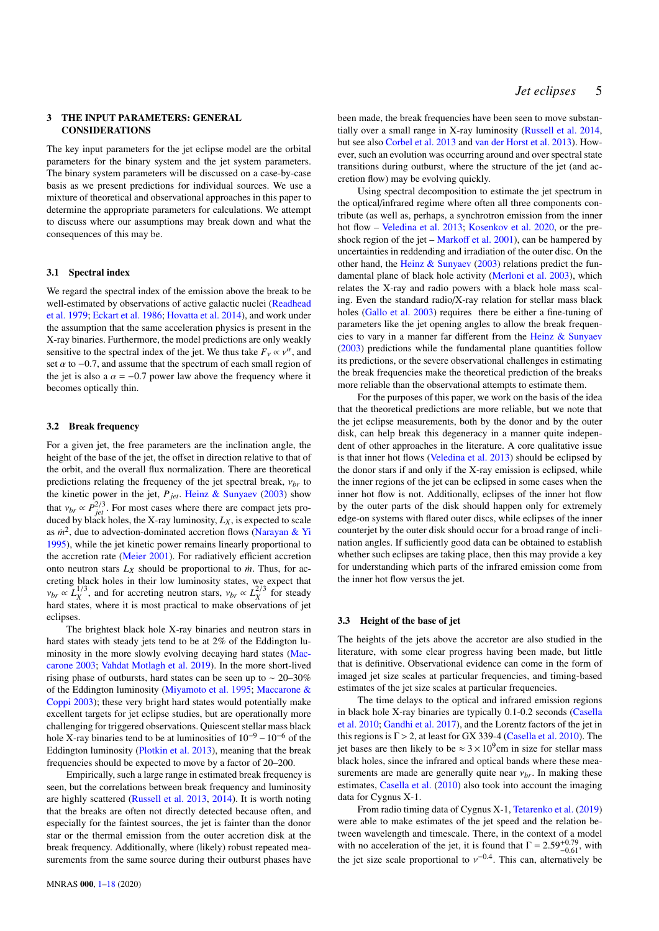#### 3 THE INPUT PARAMETERS: GENERAL CONSIDERATIONS

The key input parameters for the jet eclipse model are the orbital parameters for the binary system and the jet system parameters. The binary system parameters will be discussed on a case-by-case basis as we present predictions for individual sources. We use a mixture of theoretical and observational approaches in this paper to determine the appropriate parameters for calculations. We attempt to discuss where our assumptions may break down and what the consequences of this may be.

# 3.1 Spectral index

We regard the spectral index of the emission above the break to be well-estimated by observations of active galactic nuclei [\(Readhead](#page-16-39) [et al.](#page-16-39) [1979;](#page-16-39) [Eckart et al.](#page-16-40) [1986;](#page-16-40) [Hovatta et al.](#page-16-41) [2014\)](#page-16-41), and work under the assumption that the same acceleration physics is present in the X-ray binaries. Furthermore, the model predictions are only weakly sensitive to the spectral index of the jet. We thus take  $F_v \propto v^{\alpha}$ , and set  $\alpha$  to  $-0.7$ , and assume that the spectrum of each small region of set  $\alpha$  to −0.7, and assume that the spectrum of each small region of the jet is also a  $\alpha = -0.7$  power law above the frequency where it becomes optically thin.

#### 3.2 Break frequency

For a given jet, the free parameters are the inclination angle, the height of the base of the jet, the offset in direction relative to that of the orbit, and the overall flux normalization. There are theoretical predictions relating the frequency of the jet spectral break, <sup>ν</sup>*br* to the kinetic power in the jet, *Pjet*. [Heinz & Sunyaev](#page-16-42) [\(2003\)](#page-16-42) show that  $v_{br} \propto P_{jet}^{2/3}$ . For most cases where there are compact jets pro-<br>duced by black holes the X-ray luminosity *L*<sub>y</sub> is expected to scale duced by black holes, the X-ray luminosity, *LX*, is expected to scale as  $\dot{m}^2$ , due to advection-dominated accretion flows [\(Narayan & Yi](#page-16-43) [1995\)](#page-16-43), while the jet kinetic power remains linearly proportional to the accretion rate [\(Meier](#page-16-44) [2001\)](#page-16-44). For radiatively efficient accretion onto neutron stars  $L_X$  should be proportional to  $\dot{m}$ . Thus, for accreting black holes in their low luminosity states, we expect that  $v_{br} \propto L_X^{1/3}$ , and for accreting neutron stars,  $v_{br} \propto L_X^{2/3}$  for steady hard states, where it is most practical to make observations of jet eclipses.

The brightest black hole X-ray binaries and neutron stars in hard states with steady jets tend to be at 2% of the Eddington luminosity in the more slowly evolving decaying hard states [\(Mac](#page-16-45)[carone](#page-16-45) [2003;](#page-16-45) [Vahdat Motlagh et al.](#page-17-18) [2019\)](#page-17-18). In the more short-lived rising phase of outbursts, hard states can be seen up to ∼ 20–30% of the Eddington luminosity [\(Miyamoto et al.](#page-16-46) [1995;](#page-16-46) [Maccarone &](#page-16-47) [Coppi](#page-16-47) [2003\)](#page-16-47); these very bright hard states would potentially make excellent targets for jet eclipse studies, but are operationally more challenging for triggered observations. Quiescent stellar mass black hole X-ray binaries tend to be at luminosities of  $10^{-9} - 10^{-6}$  of the Eddington luminosity [\(Plotkin et al.](#page-16-48) [2013\)](#page-16-48), meaning that the break frequencies should be expected to move by a factor of 20–200.

Empirically, such a large range in estimated break frequency is seen, but the correlations between break frequency and luminosity are highly scattered [\(Russell et al.](#page-16-49) [2013,](#page-16-49) [2014\)](#page-16-50). It is worth noting that the breaks are often not directly detected because often, and especially for the faintest sources, the jet is fainter than the donor star or the thermal emission from the outer accretion disk at the break frequency. Additionally, where (likely) robust repeated measurements from the same source during their outburst phases have

been made, the break frequencies have been seen to move substantially over a small range in X-ray luminosity [\(Russell et al.](#page-16-50) [2014,](#page-16-50) but see also [Corbel et al.](#page-16-12) [2013](#page-16-12) and [van der Horst et al.](#page-17-19) [2013\)](#page-17-19). However, such an evolution was occurring around and over spectral state transitions during outburst, where the structure of the jet (and accretion flow) may be evolving quickly.

Using spectral decomposition to estimate the jet spectrum in the optical/infrared regime where often all three components contribute (as well as, perhaps, a synchrotron emission from the inner hot flow – [Veledina et al.](#page-17-20) [2013;](#page-17-20) [Kosenkov et al.](#page-16-51) [2020,](#page-16-51) or the pre-shock region of the jet – [Marko](#page-16-52)ff et al.  $2001$ ), can be hampered by uncertainties in reddending and irradiation of the outer disc. On the other hand, the Heinz  $& Sunyaev (2003)$  $& Sunyaev (2003)$  relations predict the fundamental plane of black hole activity [\(Merloni et al.](#page-16-53) [2003\)](#page-16-53), which relates the X-ray and radio powers with a black hole mass scaling. Even the standard radio/X-ray relation for stellar mass black holes [\(Gallo et al.](#page-16-35) [2003\)](#page-16-35) requires there be either a fine-tuning of parameters like the jet opening angles to allow the break frequencies to vary in a manner far different from the [Heinz & Sunyaev](#page-16-42) [\(2003\)](#page-16-42) predictions while the fundamental plane quantities follow its predictions, or the severe observational challenges in estimating the break frequencies make the theoretical prediction of the breaks more reliable than the observational attempts to estimate them.

For the purposes of this paper, we work on the basis of the idea that the theoretical predictions are more reliable, but we note that the jet eclipse measurements, both by the donor and by the outer disk, can help break this degeneracy in a manner quite independent of other approaches in the literature. A core qualitative issue is that inner hot flows [\(Veledina et al.](#page-17-20) [2013\)](#page-17-20) should be eclipsed by the donor stars if and only if the X-ray emission is eclipsed, while the inner regions of the jet can be eclipsed in some cases when the inner hot flow is not. Additionally, eclipses of the inner hot flow by the outer parts of the disk should happen only for extremely edge-on systems with flared outer discs, while eclipses of the inner counterjet by the outer disk should occur for a broad range of inclination angles. If sufficiently good data can be obtained to establish whether such eclipses are taking place, then this may provide a key for understanding which parts of the infrared emission come from the inner hot flow versus the jet.

## 3.3 Height of the base of jet

The heights of the jets above the accretor are also studied in the literature, with some clear progress having been made, but little that is definitive. Observational evidence can come in the form of imaged jet size scales at particular frequencies, and timing-based estimates of the jet size scales at particular frequencies.

The time delays to the optical and infrared emission regions in black hole X-ray binaries are typically 0.1-0.2 seconds [\(Casella](#page-16-17) [et al.](#page-16-17) [2010;](#page-16-17) [Gandhi et al.](#page-16-18) [2017\)](#page-16-18), and the Lorentz factors of the jet in this regions is  $\Gamma > 2$ , at least for GX 339-4 [\(Casella et al.](#page-16-17) [2010\)](#page-16-17). The jet bases are then likely to be  $\approx 3 \times 10^9$ cm in size for stellar mass black holes, since the infrared and optical bands where these measurements are made are generally quite near  $v_{hr}$ . In making these estimates, [Casella et al.](#page-16-17) [\(2010\)](#page-16-17) also took into account the imaging data for Cygnus X-1.

From radio timing data of Cygnus X-1, [Tetarenko et al.](#page-17-8) [\(2019\)](#page-17-8) were able to make estimates of the jet speed and the relation between wavelength and timescale. There, in the context of a model with no acceleration of the jet, it is found that  $\Gamma = 2.59^{+0.79}_{-0.61}$ , with the jet size scale proportional to  $v^{-0.4}$ . This can alternatively be the jet size scale proportional to  $v^{-0.4}$ . This can, alternatively be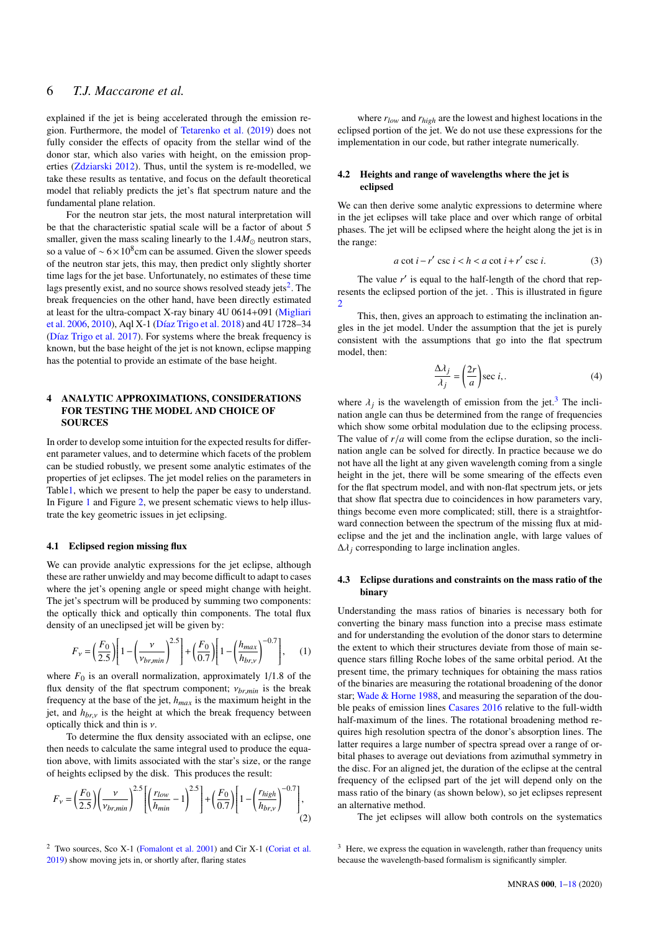explained if the jet is being accelerated through the emission region. Furthermore, the model of [Tetarenko et al.](#page-17-8) [\(2019\)](#page-17-8) does not fully consider the effects of opacity from the stellar wind of the donor star, which also varies with height, on the emission properties [\(Zdziarski](#page-17-21) [2012\)](#page-17-21). Thus, until the system is re-modelled, we take these results as tentative, and focus on the default theoretical model that reliably predicts the jet's flat spectrum nature and the fundamental plane relation.

For the neutron star jets, the most natural interpretation will be that the characteristic spatial scale will be a factor of about 5 smaller, given the mass scaling linearly to the  $1.4M_{\odot}$  neutron stars, so a value of  $\sim 6 \times 10^8$ cm can be assumed. Given the slower speeds of the neutron star jets, this may, then predict only slightly shorter time lags for the jet base. Unfortunately, no estimates of these time lags presently exist, and no source shows resolved steady jets<sup>[2](#page-5-0)</sup>. The break frequencies on the other hand, have been directly estimated at least for the ultra-compact X-ray binary 4U 0614+091 [\(Migliari](#page-16-54) [et al.](#page-16-54) [2006,](#page-16-54) [2010\)](#page-16-55), Aql X-1 [\(Díaz Trigo et al.](#page-16-56) [2018\)](#page-16-56) and 4U 1728–34 [\(Díaz Trigo et al.](#page-16-57) [2017\)](#page-16-57). For systems where the break frequency is known, but the base height of the jet is not known, eclipse mapping has the potential to provide an estimate of the base height.

# 4 ANALYTIC APPROXIMATIONS, CONSIDERATIONS FOR TESTING THE MODEL AND CHOICE OF SOURCES

In order to develop some intuition for the expected results for different parameter values, and to determine which facets of the problem can be studied robustly, we present some analytic estimates of the properties of jet eclipses. The jet model relies on the parameters in Tabl[e1,](#page-2-0) which we present to help the paper be easy to understand. In Figure [1](#page-6-0) and Figure [2,](#page-6-1) we present schematic views to help illustrate the key geometric issues in jet eclipsing.

#### 4.1 Eclipsed region missing flux

We can provide analytic expressions for the jet eclipse, although these are rather unwieldy and may become difficult to adapt to cases where the jet's opening angle or speed might change with height. The jet's spectrum will be produced by summing two components: the optically thick and optically thin components. The total flux density of an uneclipsed jet will be given by:

$$
F_{\nu} = \left(\frac{F_0}{2.5}\right) \left[1 - \left(\frac{\nu}{\nu_{br,min}}\right)^{2.5}\right] + \left(\frac{F_0}{0.7}\right) \left[1 - \left(\frac{h_{max}}{h_{br,v}}\right)^{-0.7}\right],\qquad(1)
$$

where  $F_0$  is an overall normalization, approximately  $1/1.8$  of the flux density of the flat spectrum component; <sup>ν</sup>*br*,*min* is the break frequency at the base of the jet, *hmax* is the maximum height in the jet, and *<sup>h</sup>br*,ν is the height at which the break frequency between optically thick and thin is  $\nu$ .

To determine the flux density associated with an eclipse, one then needs to calculate the same integral used to produce the equation above, with limits associated with the star's size, or the range of heights eclipsed by the disk. This produces the result:

$$
F_{\nu} = \left(\frac{F_0}{2.5}\right) \left(\frac{\nu}{\nu_{br,min}}\right)^{2.5} \left[ \left(\frac{r_{low}}{h_{min}} - 1\right)^{2.5} \right] + \left(\frac{F_0}{0.7}\right) \left[1 - \left(\frac{r_{high}}{h_{br,v}}\right)^{-0.7} \right],
$$
\n(2)

<span id="page-5-0"></span><sup>2</sup> Two sources, Sco X-1 [\(Fomalont et al.](#page-16-29) [2001\)](#page-16-29) and Cir X-1 [\(Coriat et al.](#page-16-58) [2019\)](#page-16-58) show moving jets in, or shortly after, flaring states

where *rlow* and *rhigh* are the lowest and highest locations in the eclipsed portion of the jet. We do not use these expressions for the implementation in our code, but rather integrate numerically.

# 4.2 Heights and range of wavelengths where the jet is eclipsed

We can then derive some analytic expressions to determine where in the jet eclipses will take place and over which range of orbital phases. The jet will be eclipsed where the height along the jet is in the range:

$$
a \cot i - r' \csc i < h < a \cot i + r' \csc i. \tag{3}
$$

The value  $r'$  is equal to the half-length of the chord that represents the eclipsed portion of the jet. . This is illustrated in figure  $\overline{2}$  $\overline{2}$  $\overline{2}$ 

This, then, gives an approach to estimating the inclination angles in the jet model. Under the assumption that the jet is purely consistent with the assumptions that go into the flat spectrum model then:

$$
\frac{\Delta \lambda_j}{\lambda_j} = \left(\frac{2r}{a}\right) \sec i, \tag{4}
$$

where  $\lambda_j$  is the wavelength of emission from the jet.<sup>[3](#page-5-1)</sup> The incli-<br>nation angle can thus be determined from the range of frequencies nation angle can thus be determined from the range of frequencies which show some orbital modulation due to the eclipsing process. The value of *<sup>r</sup>*/*<sup>a</sup>* will come from the eclipse duration, so the inclination angle can be solved for directly. In practice because we do not have all the light at any given wavelength coming from a single height in the jet, there will be some smearing of the effects even for the flat spectrum model, and with non-flat spectrum jets, or jets that show flat spectra due to coincidences in how parameters vary, things become even more complicated; still, there is a straightforward connection between the spectrum of the missing flux at mideclipse and the jet and the inclination angle, with large values of <sup>∆</sup>λ*<sup>j</sup>* corresponding to large inclination angles.

#### 4.3 Eclipse durations and constraints on the mass ratio of the binary

Understanding the mass ratios of binaries is necessary both for converting the binary mass function into a precise mass estimate and for understanding the evolution of the donor stars to determine the extent to which their structures deviate from those of main sequence stars filling Roche lobes of the same orbital period. At the present time, the primary techniques for obtaining the mass ratios of the binaries are measuring the rotational broadening of the donor star; [Wade & Horne](#page-17-22) [1988,](#page-17-22) and measuring the separation of the double peaks of emission lines [Casares](#page-16-59) [2016](#page-16-59) relative to the full-width half-maximum of the lines. The rotational broadening method requires high resolution spectra of the donor's absorption lines. The latter requires a large number of spectra spread over a range of orbital phases to average out deviations from azimuthal symmetry in the disc. For an aligned jet, the duration of the eclipse at the central frequency of the eclipsed part of the jet will depend only on the mass ratio of the binary (as shown below), so jet eclipses represent an alternative method.

The jet eclipses will allow both controls on the systematics

<span id="page-5-1"></span><sup>&</sup>lt;sup>3</sup> Here, we express the equation in wavelength, rather than frequency units because the wavelength-based formalism is significantly simpler.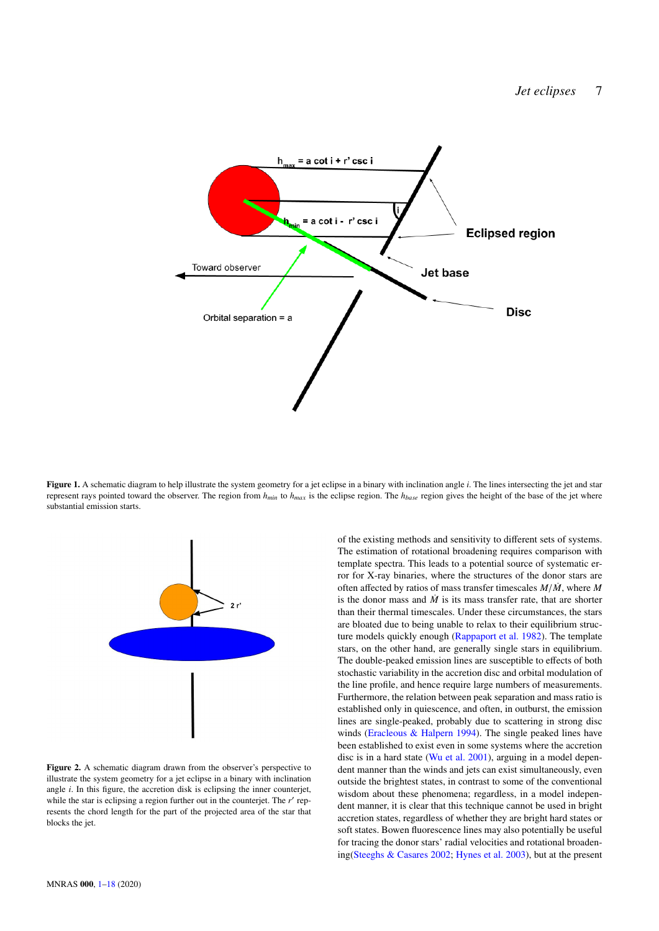

Figure 1. A schematic diagram to help illustrate the system geometry for a jet eclipse in a binary with inclination angle *i*. The lines intersecting the jet and star represent rays pointed toward the observer. The region from *hmin* to *hmax* is the eclipse region. The *hbase* region gives the height of the base of the jet where substantial emission starts.



<span id="page-6-1"></span>Figure 2. A schematic diagram drawn from the observer's perspective to illustrate the system geometry for a jet eclipse in a binary with inclination angle *i*. In this figure, the accretion disk is eclipsing the inner counterjet, while the star is eclipsing a region further out in the counterjet. The r' represents the chord length for the part of the projected area of the star that blocks the jet.

<span id="page-6-0"></span>of the existing methods and sensitivity to different sets of systems. The estimation of rotational broadening requires comparison with template spectra. This leads to a potential source of systematic error for X-ray binaries, where the structures of the donor stars are often affected by ratios of mass transfer timescales  $M/\dot{M}$ , where M is the donor mass and  $\dot{M}$  is its mass transfer rate, that are shorter than their thermal timescales. Under these circumstances, the stars are bloated due to being unable to relax to their equilibrium structure models quickly enough [\(Rappaport et al.](#page-16-60) [1982\)](#page-16-60). The template stars, on the other hand, are generally single stars in equilibrium. The double-peaked emission lines are susceptible to effects of both stochastic variability in the accretion disc and orbital modulation of the line profile, and hence require large numbers of measurements. Furthermore, the relation between peak separation and mass ratio is established only in quiescence, and often, in outburst, the emission lines are single-peaked, probably due to scattering in strong disc winds [\(Eracleous & Halpern](#page-16-61) [1994\)](#page-16-61). The single peaked lines have been established to exist even in some systems where the accretion disc is in a hard state [\(Wu et al.](#page-17-23) [2001\)](#page-17-23), arguing in a model dependent manner than the winds and jets can exist simultaneously, even outside the brightest states, in contrast to some of the conventional wisdom about these phenomena; regardless, in a model independent manner, it is clear that this technique cannot be used in bright accretion states, regardless of whether they are bright hard states or soft states. Bowen fluorescence lines may also potentially be useful for tracing the donor stars' radial velocities and rotational broadening[\(Steeghs & Casares](#page-17-24) [2002;](#page-17-24) [Hynes et al.](#page-16-62) [2003\)](#page-16-62), but at the present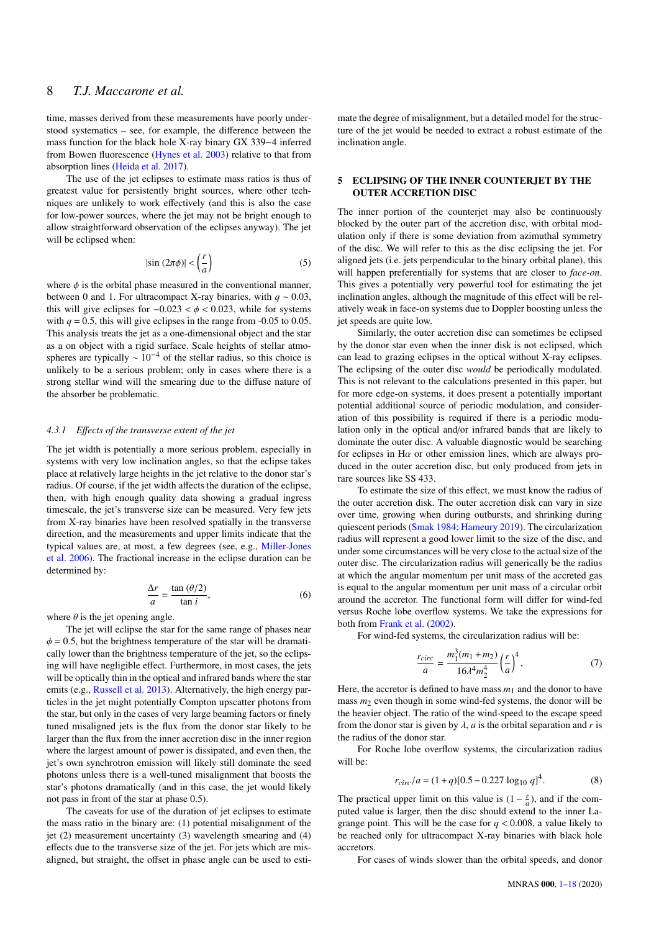time, masses derived from these measurements have poorly understood systematics – see, for example, the difference between the mass function for the black hole X-ray binary GX 339−4 inferred from Bowen fluorescence [\(Hynes et al.](#page-16-62) [2003\)](#page-16-62) relative to that from absorption lines [\(Heida et al.](#page-16-63) [2017\)](#page-16-63).

The use of the jet eclipses to estimate mass ratios is thus of greatest value for persistently bright sources, where other techniques are unlikely to work effectively (and this is also the case for low-power sources, where the jet may not be bright enough to allow straightforward observation of the eclipses anyway). The jet will be eclipsed when:

$$
|\sin(2\pi\phi)| < \left(\frac{r}{a}\right) \tag{5}
$$

where  $\phi$  is the orbital phase measured in the conventional manner, between 0 and 1. For ultracompact X-ray binaries, with  $q \sim 0.03$ , this will give eclipses for  $-0.023 < \phi < 0.023$ , while for systems with  $q = 0.5$ , this will give eclipses in the range from -0.05 to 0.05. This analysis treats the jet as a one-dimensional object and the star as a on object with a rigid surface. Scale heights of stellar atmospheres are typically  $\sim 10^{-4}$  of the stellar radius, so this choice is unlikely to be a serious problem; only in cases where there is a strong stellar wind will the smearing due to the diffuse nature of the absorber be problematic.

#### *4.3.1 E*ff*ects of the transverse extent of the jet*

The jet width is potentially a more serious problem, especially in systems with very low inclination angles, so that the eclipse takes place at relatively large heights in the jet relative to the donor star's radius. Of course, if the jet width affects the duration of the eclipse, then, with high enough quality data showing a gradual ingress timescale, the jet's transverse size can be measured. Very few jets from X-ray binaries have been resolved spatially in the transverse direction, and the measurements and upper limits indicate that the typical values are, at most, a few degrees (see, e.g., [Miller-Jones](#page-16-64) [et al.](#page-16-64) [2006\)](#page-16-64). The fractional increase in the eclipse duration can be determined by:

$$
\frac{\Delta r}{a} = \frac{\tan(\theta/2)}{\tan i},\tag{6}
$$

where  $\theta$  is the jet opening angle.

The jet will eclipse the star for the same range of phases near  $\phi = 0.5$ , but the brightness temperature of the star will be dramatically lower than the brightness temperature of the jet, so the eclipsing will have negligible effect. Furthermore, in most cases, the jets will be optically thin in the optical and infrared bands where the star emits (e.g., [Russell et al.](#page-16-49) [2013\)](#page-16-49). Alternatively, the high energy particles in the jet might potentially Compton upscatter photons from the star, but only in the cases of very large beaming factors or finely tuned misaligned jets is the flux from the donor star likely to be larger than the flux from the inner accretion disc in the inner region where the largest amount of power is dissipated, and even then, the jet's own synchrotron emission will likely still dominate the seed photons unless there is a well-tuned misalignment that boosts the star's photons dramatically (and in this case, the jet would likely not pass in front of the star at phase 0.5).

The caveats for use of the duration of jet eclipses to estimate the mass ratio in the binary are: (1) potential misalignment of the jet (2) measurement uncertainty (3) wavelength smearing and (4) effects due to the transverse size of the jet. For jets which are misaligned, but straight, the offset in phase angle can be used to esti-

mate the degree of misalignment, but a detailed model for the structure of the jet would be needed to extract a robust estimate of the inclination angle.

# 5 ECLIPSING OF THE INNER COUNTERJET BY THE OUTER ACCRETION DISC

The inner portion of the counterjet may also be continuously blocked by the outer part of the accretion disc, with orbital modulation only if there is some deviation from azimuthal symmetry of the disc. We will refer to this as the disc eclipsing the jet. For aligned jets (i.e. jets perpendicular to the binary orbital plane), this will happen preferentially for systems that are closer to *face-on*. This gives a potentially very powerful tool for estimating the jet inclination angles, although the magnitude of this effect will be relatively weak in face-on systems due to Doppler boosting unless the jet speeds are quite low.

Similarly, the outer accretion disc can sometimes be eclipsed by the donor star even when the inner disk is not eclipsed, which can lead to grazing eclipses in the optical without X-ray eclipses. The eclipsing of the outer disc *would* be periodically modulated. This is not relevant to the calculations presented in this paper, but for more edge-on systems, it does present a potentially important potential additional source of periodic modulation, and consideration of this possibility is required if there is a periodic modulation only in the optical and/or infrared bands that are likely to dominate the outer disc. A valuable diagnostic would be searching for eclipses in H $\alpha$  or other emission lines, which are always produced in the outer accretion disc, but only produced from jets in rare sources like SS 433.

To estimate the size of this effect, we must know the radius of the outer accretion disk. The outer accretion disk can vary in size over time, growing when during outbursts, and shrinking during quiescent periods [\(Smak](#page-17-25) [1984;](#page-17-25) [Hameury](#page-16-65) [2019\)](#page-16-65). The circularization radius will represent a good lower limit to the size of the disc, and under some circumstances will be very close to the actual size of the outer disc. The circularization radius will generically be the radius at which the angular momentum per unit mass of the accreted gas is equal to the angular momentum per unit mass of a circular orbit around the accretor. The functional form will differ for wind-fed versus Roche lobe overflow systems. We take the expressions for both from [Frank et al.](#page-16-66) [\(2002\)](#page-16-66).

For wind-fed systems, the circularization radius will be:

$$
\frac{r_{circ}}{a} = \frac{m_1^3(m_1 + m_2)}{16\lambda^4 m_2^4} \left(\frac{r}{a}\right)^4,\tag{7}
$$

Here, the accretor is defined to have mass  $m_1$  and the donor to have mass  $m_2$  even though in some wind-fed systems, the donor will be the heavier object. The ratio of the wind-speed to the escape speed from the donor star is given by  $\lambda$ ,  $a$  is the orbital separation and  $r$  is the radius of the donor star.

For Roche lobe overflow systems, the circularization radius will be:

$$
r_{circ}/a = (1+q)[0.5-0.227 \log_{10} q]^4. \tag{8}
$$

The practical upper limit on this value is  $(1 - \frac{r}{a})$ , and if the computed value is larger, then the disc should extend to the inner Lagrange point. This will be the case for *<sup>q</sup>* < <sup>0</sup>.008, a value likely to be reached only for ultracompact X-ray binaries with black hole accretors.

For cases of winds slower than the orbital speeds, and donor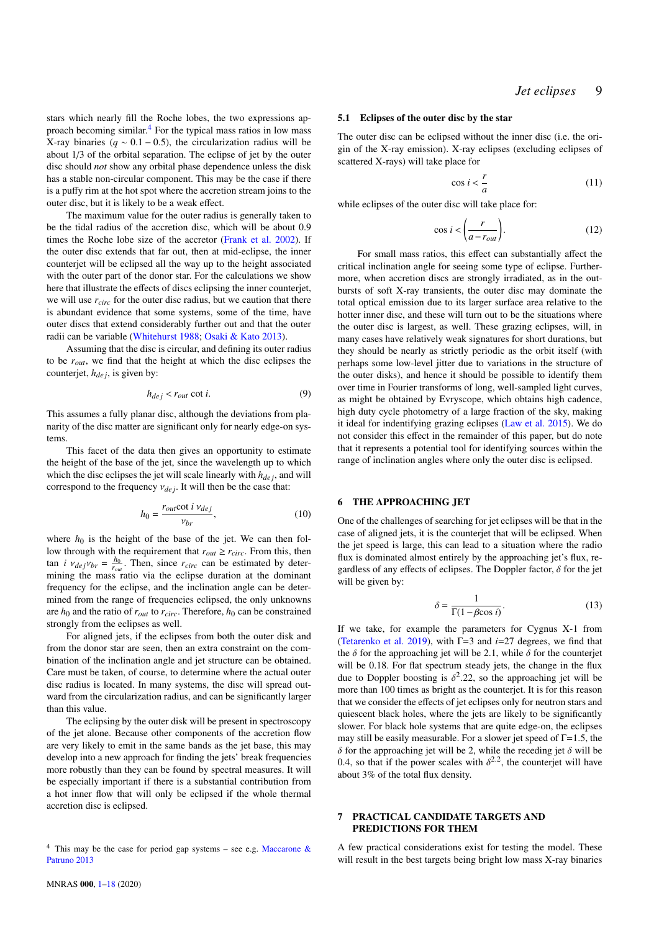stars which nearly fill the Roche lobes, the two expressions approach becoming similar.[4](#page-8-0) For the typical mass ratios in low mass X-ray binaries ( $q \sim 0.1 - 0.5$ ), the circularization radius will be about 1/3 of the orbital separation. The eclipse of jet by the outer disc should *not* show any orbital phase dependence unless the disk has a stable non-circular component. This may be the case if there is a puffy rim at the hot spot where the accretion stream joins to the outer disc, but it is likely to be a weak effect.

The maximum value for the outer radius is generally taken to be the tidal radius of the accretion disc, which will be about 0.9 times the Roche lobe size of the accretor [\(Frank et al.](#page-16-66) [2002\)](#page-16-66). If the outer disc extends that far out, then at mid-eclipse, the inner counterjet will be eclipsed all the way up to the height associated with the outer part of the donor star. For the calculations we show here that illustrate the effects of discs eclipsing the inner counterjet, we will use *rcirc* for the outer disc radius, but we caution that there is abundant evidence that some systems, some of the time, have outer discs that extend considerably further out and that the outer radii can be variable [\(Whitehurst](#page-17-26) [1988;](#page-17-26) [Osaki & Kato](#page-16-67) [2013\)](#page-16-67).

Assuming that the disc is circular, and defining its outer radius to be *rout*, we find that the height at which the disc eclipses the counterjet, *hde j*, is given by:

$$
h_{dej} < r_{out} \cot i. \tag{9}
$$

This assumes a fully planar disc, although the deviations from planarity of the disc matter are significant only for nearly edge-on systems.

This facet of the data then gives an opportunity to estimate the height of the base of the jet, since the wavelength up to which which the disc eclipses the jet will scale linearly with  $h_{dej}$ , and will correspond to the frequency ν*de j*. It will then be the case that:

$$
h_0 = \frac{r_{out} \cot i \nu_{dej}}{\nu_{br}},\tag{10}
$$

where  $h_0$  is the height of the base of the jet. We can then follow through with the requirement that  $r_{out} \ge r_{circ}$ . From this, then  $\tan i \nu_{def}v_{br} = \frac{h_0}{r_{out}}$ . Then, since  $r_{circ}$  can be estimated by deter-<br>mining the mass ratio via the eclipse duration at the dominant mining the mass ratio via the eclipse duration at the dominant frequency for the eclipse, and the inclination angle can be determined from the range of frequencies eclipsed, the only unknowns are  $h_0$  and the ratio of  $r_{out}$  to  $r_{circ}$ . Therefore,  $h_0$  can be constrained strongly from the eclipses as well.

For aligned jets, if the eclipses from both the outer disk and from the donor star are seen, then an extra constraint on the combination of the inclination angle and jet structure can be obtained. Care must be taken, of course, to determine where the actual outer disc radius is located. In many systems, the disc will spread outward from the circularization radius, and can be significantly larger than this value.

The eclipsing by the outer disk will be present in spectroscopy of the jet alone. Because other components of the accretion flow are very likely to emit in the same bands as the jet base, this may develop into a new approach for finding the jets' break frequencies more robustly than they can be found by spectral measures. It will be especially important if there is a substantial contribution from a hot inner flow that will only be eclipsed if the whole thermal accretion disc is eclipsed.

#### 5.1 Eclipses of the outer disc by the star

The outer disc can be eclipsed without the inner disc (i.e. the origin of the X-ray emission). X-ray eclipses (excluding eclipses of scattered X-rays) will take place for

$$
\cos i < \frac{r}{a} \tag{11}
$$

while eclipses of the outer disc will take place for:

$$
\cos i < \left(\frac{r}{a - r_{out}}\right). \tag{12}
$$

For small mass ratios, this effect can substantially affect the critical inclination angle for seeing some type of eclipse. Furthermore, when accretion discs are strongly irradiated, as in the outbursts of soft X-ray transients, the outer disc may dominate the total optical emission due to its larger surface area relative to the hotter inner disc, and these will turn out to be the situations where the outer disc is largest, as well. These grazing eclipses, will, in many cases have relatively weak signatures for short durations, but they should be nearly as strictly periodic as the orbit itself (with perhaps some low-level jitter due to variations in the structure of the outer disks), and hence it should be possible to identify them over time in Fourier transforms of long, well-sampled light curves, as might be obtained by Evryscope, which obtains high cadence, high duty cycle photometry of a large fraction of the sky, making it ideal for indentifying grazing eclipses [\(Law et al.](#page-16-69) [2015\)](#page-16-69). We do not consider this effect in the remainder of this paper, but do note that it represents a potential tool for identifying sources within the range of inclination angles where only the outer disc is eclipsed.

## 6 THE APPROACHING JET

One of the challenges of searching for jet eclipses will be that in the case of aligned jets, it is the counterjet that will be eclipsed. When the jet speed is large, this can lead to a situation where the radio flux is dominated almost entirely by the approaching jet's flux, regardless of any effects of eclipses. The Doppler factor,  $\delta$  for the jet will be given by:

$$
\delta = \frac{1}{\Gamma(1 - \beta \cos i)}.\tag{13}
$$

If we take, for example the parameters for Cygnus X-1 from [\(Tetarenko et al.](#page-17-8) [2019\)](#page-17-8), with Γ=3 and *i*=27 degrees, we find that the  $\delta$  for the approaching jet will be 2.1, while  $\delta$  for the counterjet will be 0.18. For flat spectrum steady jets, the change in the flux due to Doppler boosting is  $\delta^2$ .22, so the approaching jet will be more than 100 times as bright as the counteriet. It is for this reason more than 100 times as bright as the counterjet. It is for this reason that we consider the effects of jet eclipses only for neutron stars and quiescent black holes, where the jets are likely to be significantly slower. For black hole systems that are quite edge-on, the eclipses may still be easily measurable. For a slower jet speed of  $\Gamma$ =1.5, the δ for the approaching jet will be 2, while the receding jet δ will be 0.4 so that if the nower scales with  $\delta^{2.2}$  the counteriet will have 0.4, so that if the power scales with  $\delta^{2.2}$ , the counterjet will have<br>about 3% of the total flux density. about 3% of the total flux density.

# 7 PRACTICAL CANDIDATE TARGETS AND PREDICTIONS FOR THEM

A few practical considerations exist for testing the model. These will result in the best targets being bright low mass X-ray binaries

<span id="page-8-0"></span><sup>4</sup> This may be the case for period gap systems – see e.g. [Maccarone &](#page-16-68) [Patruno](#page-16-68) [2013](#page-16-68)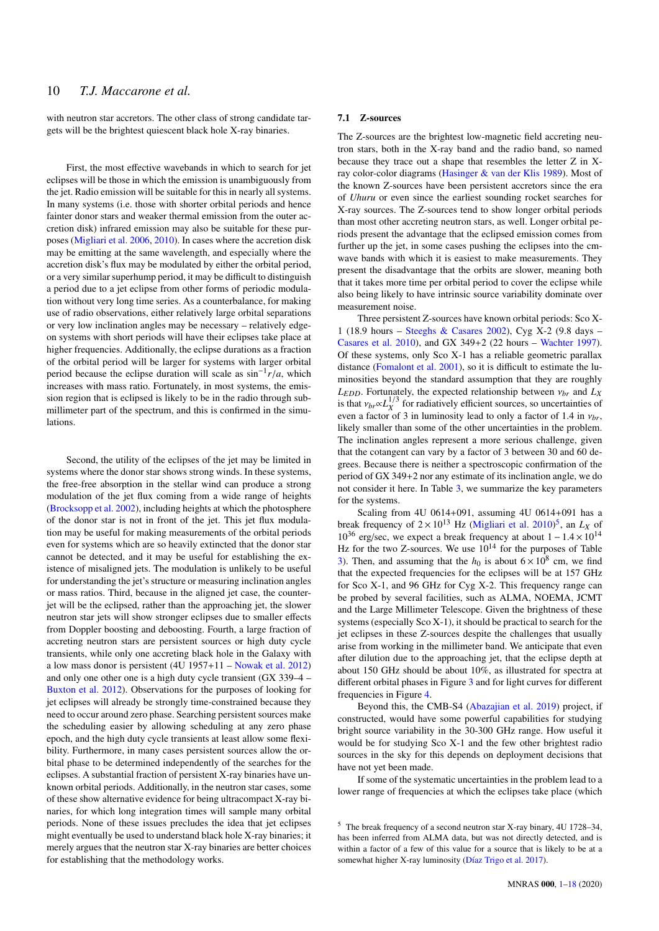with neutron star accretors. The other class of strong candidate targets will be the brightest quiescent black hole X-ray binaries.

First, the most effective wavebands in which to search for jet eclipses will be those in which the emission is unambiguously from the jet. Radio emission will be suitable for this in nearly all systems. In many systems (i.e. those with shorter orbital periods and hence fainter donor stars and weaker thermal emission from the outer accretion disk) infrared emission may also be suitable for these purposes [\(Migliari et al.](#page-16-54) [2006,](#page-16-54) [2010\)](#page-16-55). In cases where the accretion disk may be emitting at the same wavelength, and especially where the accretion disk's flux may be modulated by either the orbital period, or a very similar superhump period, it may be difficult to distinguish a period due to a jet eclipse from other forms of periodic modulation without very long time series. As a counterbalance, for making use of radio observations, either relatively large orbital separations or very low inclination angles may be necessary – relatively edgeon systems with short periods will have their eclipses take place at higher frequencies. Additionally, the eclipse durations as a fraction of the orbital period will be larger for systems with larger orbital period because the eclipse duration will scale as  $\sin^{-1} r/a$ , which<br>increases with mass ratio. Fortunately, in most systems, the emisincreases with mass ratio. Fortunately, in most systems, the emission region that is eclipsed is likely to be in the radio through submillimeter part of the spectrum, and this is confirmed in the simulations.

Second, the utility of the eclipses of the jet may be limited in systems where the donor star shows strong winds. In these systems, the free-free absorption in the stellar wind can produce a strong modulation of the jet flux coming from a wide range of heights [\(Brocksopp et al.](#page-15-4) [2002\)](#page-15-4), including heights at which the photosphere of the donor star is not in front of the jet. This jet flux modulation may be useful for making measurements of the orbital periods even for systems which are so heavily extincted that the donor star cannot be detected, and it may be useful for establishing the existence of misaligned jets. The modulation is unlikely to be useful for understanding the jet's structure or measuring inclination angles or mass ratios. Third, because in the aligned jet case, the counterjet will be the eclipsed, rather than the approaching jet, the slower neutron star jets will show stronger eclipses due to smaller effects from Doppler boosting and deboosting. Fourth, a large fraction of accreting neutron stars are persistent sources or high duty cycle transients, while only one accreting black hole in the Galaxy with a low mass donor is persistent (4U 1957+11 – [Nowak et al.](#page-16-70) [2012\)](#page-16-70) and only one other one is a high duty cycle transient (GX 339–4 – [Buxton et al.](#page-15-10) [2012\)](#page-15-10). Observations for the purposes of looking for jet eclipses will already be strongly time-constrained because they need to occur around zero phase. Searching persistent sources make the scheduling easier by allowing scheduling at any zero phase epoch, and the high duty cycle transients at least allow some flexibility. Furthermore, in many cases persistent sources allow the orbital phase to be determined independently of the searches for the eclipses. A substantial fraction of persistent X-ray binaries have unknown orbital periods. Additionally, in the neutron star cases, some of these show alternative evidence for being ultracompact X-ray binaries, for which long integration times will sample many orbital periods. None of these issues precludes the idea that jet eclipses might eventually be used to understand black hole X-ray binaries; it merely argues that the neutron star X-ray binaries are better choices for establishing that the methodology works.

# 7.1 Z-sources

The Z-sources are the brightest low-magnetic field accreting neutron stars, both in the X-ray band and the radio band, so named because they trace out a shape that resembles the letter Z in Xray color-color diagrams [\(Hasinger & van der Klis](#page-16-71) [1989\)](#page-16-71). Most of the known Z-sources have been persistent accretors since the era of *Uhuru* or even since the earliest sounding rocket searches for X-ray sources. The Z-sources tend to show longer orbital periods than most other accreting neutron stars, as well. Longer orbital periods present the advantage that the eclipsed emission comes from further up the jet, in some cases pushing the eclipses into the cmwave bands with which it is easiest to make measurements. They present the disadvantage that the orbits are slower, meaning both that it takes more time per orbital period to cover the eclipse while also being likely to have intrinsic source variability dominate over measurement noise.

Three persistent Z-sources have known orbital periods: Sco X-1 (18.9 hours – [Steeghs & Casares](#page-17-24) [2002\)](#page-17-24), Cyg X-2 (9.8 days – [Casares et al.](#page-16-72) [2010\)](#page-16-72), and GX 349+2 (22 hours – [Wachter](#page-17-27) [1997\)](#page-17-27). Of these systems, only Sco X-1 has a reliable geometric parallax distance [\(Fomalont et al.](#page-16-29) [2001\)](#page-16-29), so it is difficult to estimate the luminosities beyond the standard assumption that they are roughly *L<sub>EDD</sub>*. Fortunately, the expected relationship between  $v_{br}$  and  $L_X$ <br>is that  $v_t \propto L^{1/3}$  for radiatively efficient sources, so uncertainties of is that  $v_{b r} \propto L_X^{1/3}$  for radiatively efficient sources, so uncertainties of even a factor of 1.4 in v. even a factor of 3 in luminosity lead to only a factor of 1.4 in  $v_{hr}$ , likely smaller than some of the other uncertainties in the problem. The inclination angles represent a more serious challenge, given that the cotangent can vary by a factor of 3 between 30 and 60 degrees. Because there is neither a spectroscopic confirmation of the period of GX 349+2 nor any estimate of its inclination angle, we do not consider it here. In Table [3,](#page-10-0) we summarize the key parameters for the systems.

Scaling from 4U 0614+091, assuming 4U 0614+091 has a break frequency of  $2 \times 10^{13}$  Hz [\(Migliari et al.](#page-16-55) [2010\)](#page-16-55)<sup>[5](#page-9-0)</sup>, an  $L_X$  of  $10^{36}$  erg/sec, we expect a break frequency at about  $1 - 1.4 \times 10^{14}$ Hz for the two Z-sources. We use  $10^{14}$  for the purposes of Table [3\)](#page-10-0). Then, and assuming that the  $h_0$  is about  $6 \times 10^8$  cm, we find that the expected frequencies for the eclipses will be at 157 GHz for Sco X-1, and 96 GHz for Cyg X-2. This frequency range can be probed by several facilities, such as ALMA, NOEMA, JCMT and the Large Millimeter Telescope. Given the brightness of these systems (especially Sco X-1), it should be practical to search for the jet eclipses in these Z-sources despite the challenges that usually arise from working in the millimeter band. We anticipate that even after dilution due to the approaching jet, that the eclipse depth at about 150 GHz should be about 10%, as illustrated for spectra at different orbital phases in Figure [3](#page-10-1) and for light curves for different frequencies in Figure [4.](#page-10-2)

Beyond this, the CMB-S4 [\(Abazajian et al.](#page-15-11) [2019\)](#page-15-11) project, if constructed, would have some powerful capabilities for studying bright source variability in the 30-300 GHz range. How useful it would be for studying Sco X-1 and the few other brightest radio sources in the sky for this depends on deployment decisions that have not yet been made.

If some of the systematic uncertainties in the problem lead to a lower range of frequencies at which the eclipses take place (which

<span id="page-9-0"></span><sup>5</sup> The break frequency of a second neutron star X-ray binary, 4U 1728–34, has been inferred from ALMA data, but was not directly detected, and is within a factor of a few of this value for a source that is likely to be at a somewhat higher X-ray luminosity [\(Díaz Trigo et al.](#page-16-57) [2017\)](#page-16-57).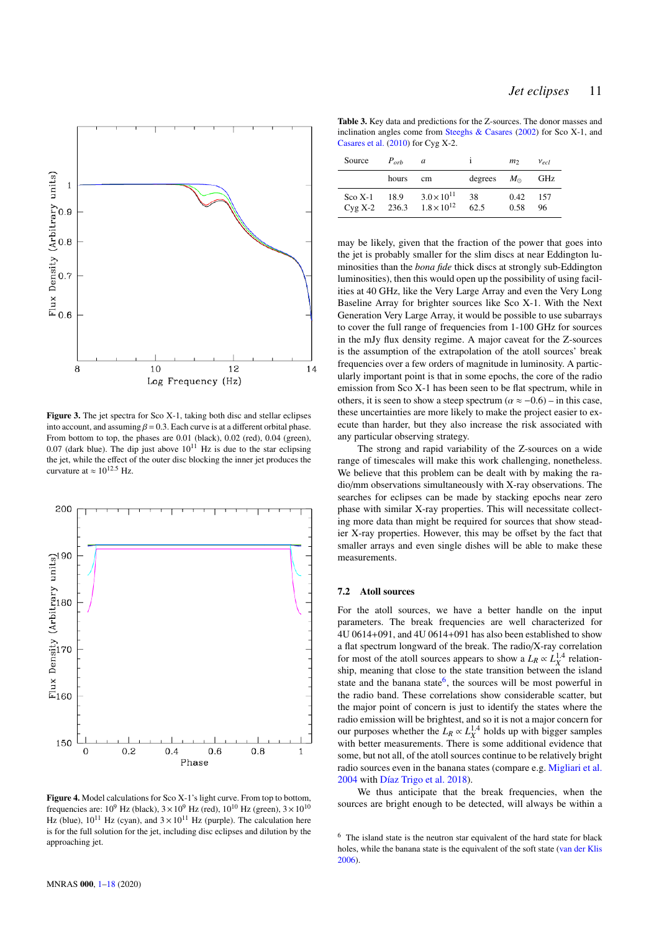

<span id="page-10-1"></span>Figure 3. The jet spectra for Sco X-1, taking both disc and stellar eclipses into account, and assuming  $\beta = 0.3$ . Each curve is at a different orbital phase. From bottom to top, the phases are 0.01 (black), 0.02 (red), 0.04 (green), 0.07 (dark blue). The dip just above  $10^{11}$  Hz is due to the star eclipsing the jet, while the effect of the outer disc blocking the inner jet produces the curvature at  $\approx 10^{12.5}$  Hz.



<span id="page-10-2"></span>Figure 4. Model calculations for Sco X-1's light curve. From top to bottom, frequencies are:  $10^9$  Hz (black),  $3 \times 10^9$  Hz (red),  $10^{10}$  Hz (green),  $3 \times 10^{10}$ Hz (blue),  $10^{11}$  Hz (cyan), and  $3 \times 10^{11}$  Hz (purple). The calculation here is for the full solution for the jet, including disc eclipses and dilution by the approaching jet.

<span id="page-10-0"></span>Table 3. Key data and predictions for the Z-sources. The donor masses and inclination angles come from [Steeghs & Casares](#page-17-24) [\(2002\)](#page-17-24) for Sco X-1, and [Casares et al.](#page-16-72) [\(2010\)](#page-16-72) for Cyg X-2.

| Source                    | $P_{\alpha r h}$ | a                                            |                     | m <sub>2</sub> | $V_{\rho c}$ |
|---------------------------|------------------|----------------------------------------------|---------------------|----------------|--------------|
|                           | hours            | <sub>cm</sub>                                | degrees $M_{\odot}$ |                | GHz          |
| $S_{CO}$ X-1<br>$Cyg X-2$ | 18.9<br>236.3    | $3.0 \times 10^{11}$<br>$1.8 \times 10^{12}$ | 38<br>62.5          | 0.42<br>0.58   | 157<br>96    |

may be likely, given that the fraction of the power that goes into the jet is probably smaller for the slim discs at near Eddington luminosities than the *bona fide* thick discs at strongly sub-Eddington luminosities), then this would open up the possibility of using facilities at 40 GHz, like the Very Large Array and even the Very Long Baseline Array for brighter sources like Sco X-1. With the Next Generation Very Large Array, it would be possible to use subarrays to cover the full range of frequencies from 1-100 GHz for sources in the mJy flux density regime. A major caveat for the Z-sources is the assumption of the extrapolation of the atoll sources' break frequencies over a few orders of magnitude in luminosity. A particularly important point is that in some epochs, the core of the radio emission from Sco X-1 has been seen to be flat spectrum, while in others, it is seen to show a steep spectrum ( $\alpha \approx -0.6$ ) – in this case, these uncertainties are more likely to make the project easier to execute than harder, but they also increase the risk associated with any particular observing strategy.

The strong and rapid variability of the Z-sources on a wide range of timescales will make this work challenging, nonetheless. We believe that this problem can be dealt with by making the radio/mm observations simultaneously with X-ray observations. The searches for eclipses can be made by stacking epochs near zero phase with similar X-ray properties. This will necessitate collecting more data than might be required for sources that show steadier X-ray properties. However, this may be offset by the fact that smaller arrays and even single dishes will be able to make these measurements.

# 7.2 Atoll sources

For the atoll sources, we have a better handle on the input parameters. The break frequencies are well characterized for 4U 0614+091, and 4U 0614+091 has also been established to show a flat spectrum longward of the break. The radio/X-ray correlation for most of the atoll sources appears to show a  $L_R \propto L_X^{1.4}$  relationship, meaning that close to the state transition between the island state and the banana state<sup>[6](#page-10-3)</sup>, the sources will be most powerful in the radio band. These correlations show considerable scatter, but the major point of concern is just to identify the states where the radio emission will be brightest, and so it is not a major concern for our purposes whether the  $L_R \propto L_X^{1.4}$  holds up with bigger samples with better measurements. There is some additional evidence that some, but not all, of the atoll sources continue to be relatively bright radio sources even in the banana states (compare e.g. [Migliari et al.](#page-16-73) [2004](#page-16-73) with [Díaz Trigo et al.](#page-16-56) [2018\)](#page-16-56).

We thus anticipate that the break frequencies, when the sources are bright enough to be detected, will always be within a

<span id="page-10-3"></span><sup>6</sup> The island state is the neutron star equivalent of the hard state for black holes, while the banana state is the equivalent of the soft state [\(van der Klis](#page-17-28) [2006\)](#page-17-28).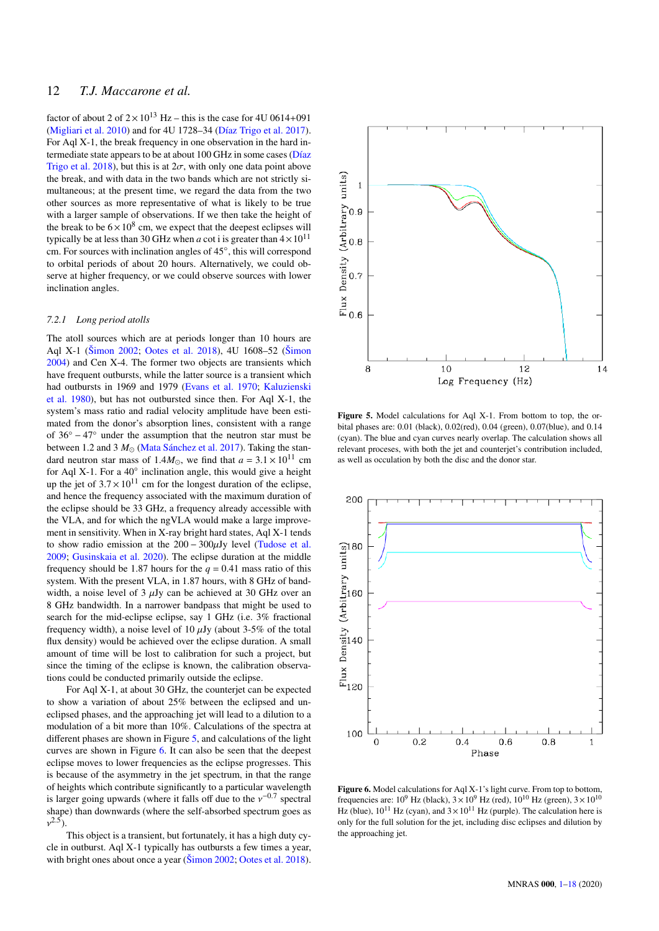factor of about 2 of  $2 \times 10^{13}$  Hz – this is the case for 4U 0614+091 [\(Migliari et al.](#page-16-55) [2010\)](#page-16-55) and for 4U 1728–34 [\(Díaz Trigo et al.](#page-16-57) [2017\)](#page-16-57). For Aql X-1, the break frequency in one observation in the hard intermediate state appears to be at about 100 GHz in some cases [\(Díaz](#page-16-56) [Trigo et al.](#page-16-56) [2018\)](#page-16-56), but this is at  $2\sigma$ , with only one data point above the break, and with data in the two bands which are not strictly simultaneous; at the present time, we regard the data from the two other sources as more representative of what is likely to be true with a larger sample of observations. If we then take the height of the break to be  $6 \times 10^8$  cm, we expect that the deepest eclipses will typically be at less than 30 GHz when *a* cot i is greater than  $4 \times 10^{11}$ cm. For sources with inclination angles of 45◦ , this will correspond to orbital periods of about 20 hours. Alternatively, we could observe at higher frequency, or we could observe sources with lower inclination angles.

#### *7.2.1 Long period atolls*

The atoll sources which are at periods longer than 10 hours are Aql X-1 [\(Šimon](#page-17-29) [2002;](#page-17-29) [Ootes et al.](#page-16-74) [2018\)](#page-16-74), 4U 1608–52 [\(Šimon](#page-17-30) [2004\)](#page-17-30) and Cen X-4. The former two objects are transients which have frequent outbursts, while the latter source is a transient which had outbursts in 1969 and 1979 [\(Evans et al.](#page-16-75) [1970;](#page-16-75) [Kaluzienski](#page-16-76) [et al.](#page-16-76) [1980\)](#page-16-76), but has not outbursted since then. For Aql X-1, the system's mass ratio and radial velocity amplitude have been estimated from the donor's absorption lines, consistent with a range of 36◦ − 47◦ under the assumption that the neutron star must be between 1.2 and 3  $M_{\odot}$  [\(Mata Sánchez et al.](#page-16-77) [2017\)](#page-16-77). Taking the standard neutron star mass of 1.4 $M_{\odot}$ , we find that  $a = 3.1 \times 10^{11}$  cm for Aql X-1. For a 40° inclination angle, this would give a height up the jet of  $3.7 \times 10^{11}$  cm for the longest duration of the eclipse, and hence the frequency associated with the maximum duration of the eclipse should be 33 GHz, a frequency already accessible with the VLA, and for which the ngVLA would make a large improvement in sensitivity. When in X-ray bright hard states, Aql X-1 tends to show radio emission at the  $200 - 300 \mu Jy$  level [\(Tudose et al.](#page-17-31) [2009;](#page-17-31) [Gusinskaia et al.](#page-16-78) [2020\)](#page-16-78). The eclipse duration at the middle frequency should be 1.87 hours for the  $q = 0.41$  mass ratio of this system. With the present VLA, in 1.87 hours, with 8 GHz of bandwidth, a noise level of  $3 \mu Jy$  can be achieved at 30 GHz over an 8 GHz bandwidth. In a narrower bandpass that might be used to search for the mid-eclipse eclipse, say 1 GHz (i.e. 3% fractional frequency width), a noise level of 10  $\mu$ Jy (about 3-5% of the total flux density) would be achieved over the eclipse duration. A small amount of time will be lost to calibration for such a project, but since the timing of the eclipse is known, the calibration observations could be conducted primarily outside the eclipse.

For Aql X-1, at about 30 GHz, the counterjet can be expected to show a variation of about 25% between the eclipsed and uneclipsed phases, and the approaching jet will lead to a dilution to a modulation of a bit more than 10%. Calculations of the spectra at different phases are shown in Figure [5,](#page-11-0) and calculations of the light curves are shown in Figure [6.](#page-11-1) It can also be seen that the deepest eclipse moves to lower frequencies as the eclipse progresses. This is because of the asymmetry in the jet spectrum, in that the range of heights which contribute significantly to a particular wavelength is larger going upwards (where it falls off due to the  $v^{-0.7}$  spectral<br>shape) than downwards (where the self-absorbed spectrum goes as shape) than downwards (where the self-absorbed spectrum goes as  $^{2.5}$ ).

This object is a transient, but fortunately, it has a high duty cycle in outburst. Aql X-1 typically has outbursts a few times a year, with bright ones about once a year (Simon [2002;](#page-17-29) [Ootes et al.](#page-16-74) [2018\)](#page-16-74).



<span id="page-11-0"></span>Figure 5. Model calculations for Aql X-1. From bottom to top, the orbital phases are: 0.01 (black), 0.02(red), 0.04 (green), 0.07(blue), and 0.14 (cyan). The blue and cyan curves nearly overlap. The calculation shows all relevant proceses, with both the jet and counterjet's contribution included, as well as occulation by both the disc and the donor star.



<span id="page-11-1"></span>Figure 6. Model calculations for Aql X-1's light curve. From top to bottom, frequencies are:  $10^9$  Hz (black),  $3 \times 10^9$  Hz (red),  $10^{10}$  Hz (green),  $3 \times 10^{10}$ Hz (blue),  $10^{11}$  Hz (cyan), and  $3 \times 10^{11}$  Hz (purple). The calculation here is only for the full solution for the jet, including disc eclipses and dilution by the approaching jet.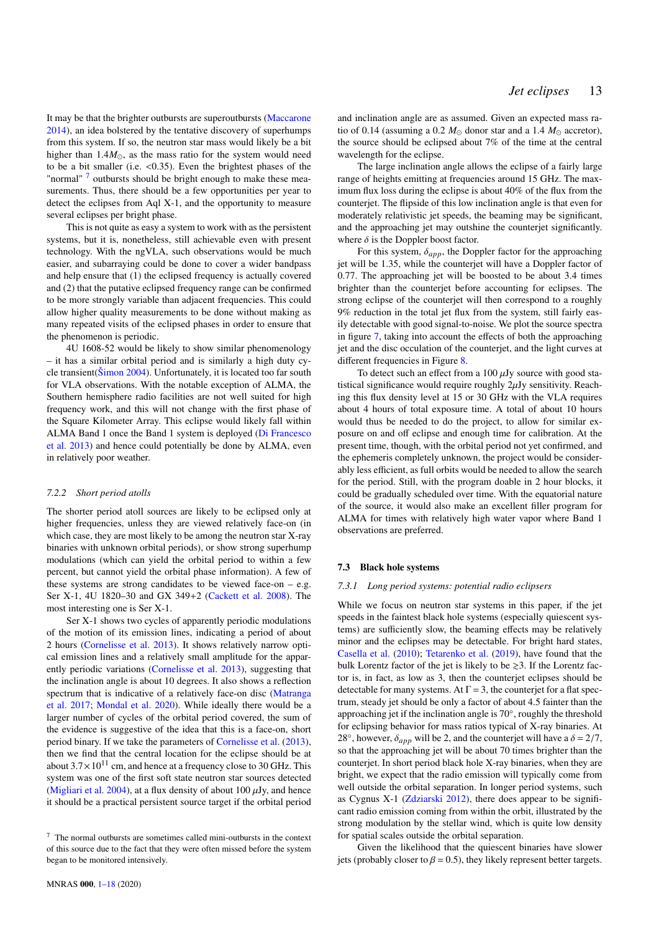It may be that the brighter outbursts are superoutbursts [\(Maccarone](#page-16-4) [2014\)](#page-16-4), an idea bolstered by the tentative discovery of superhumps from this system. If so, the neutron star mass would likely be a bit higher than  $1.4M_{\odot}$ , as the mass ratio for the system would need to be a bit smaller (i.e. <0.35). Even the brightest phases of the "normal" <sup>[7](#page-12-0)</sup> outbursts should be bright enough to make these measurements. Thus, there should be a few opportunities per year to detect the eclipses from Aql X-1, and the opportunity to measure several eclipses per bright phase.

This is not quite as easy a system to work with as the persistent systems, but it is, nonetheless, still achievable even with present technology. With the ngVLA, such observations would be much easier, and subarraying could be done to cover a wider bandpass and help ensure that (1) the eclipsed frequency is actually covered and (2) that the putative eclipsed frequency range can be confirmed to be more strongly variable than adjacent frequencies. This could allow higher quality measurements to be done without making as many repeated visits of the eclipsed phases in order to ensure that the phenomenon is periodic.

4U 1608-52 would be likely to show similar phenomenology – it has a similar orbital period and is similarly a high duty cycle transient[\(Šimon](#page-17-30) [2004\)](#page-17-30). Unfortunately, it is located too far south for VLA observations. With the notable exception of ALMA, the Southern hemisphere radio facilities are not well suited for high frequency work, and this will not change with the first phase of the Square Kilometer Array. This eclipse would likely fall within ALMA Band 1 once the Band 1 system is deployed [\(Di Francesco](#page-16-79) [et al.](#page-16-79) [2013\)](#page-16-79) and hence could potentially be done by ALMA, even in relatively poor weather.

#### *7.2.2 Short period atolls*

The shorter period atoll sources are likely to be eclipsed only at higher frequencies, unless they are viewed relatively face-on (in which case, they are most likely to be among the neutron star X-ray binaries with unknown orbital periods), or show strong superhump modulations (which can yield the orbital period to within a few percent, but cannot yield the orbital phase information). A few of these systems are strong candidates to be viewed face-on  $-$  e.g. Ser X-1, 4U 1820–30 and GX 349+2 [\(Cackett et al.](#page-15-12) [2008\)](#page-15-12). The most interesting one is Ser X-1.

Ser X-1 shows two cycles of apparently periodic modulations of the motion of its emission lines, indicating a period of about 2 hours [\(Cornelisse et al.](#page-16-80) [2013\)](#page-16-80). It shows relatively narrow optical emission lines and a relatively small amplitude for the apparently periodic variations [\(Cornelisse et al.](#page-16-80) [2013\)](#page-16-80), suggesting that the inclination angle is about 10 degrees. It also shows a reflection spectrum that is indicative of a relatively face-on disc [\(Matranga](#page-16-81) [et al.](#page-16-81) [2017;](#page-16-81) [Mondal et al.](#page-16-82) [2020\)](#page-16-82). While ideally there would be a larger number of cycles of the orbital period covered, the sum of the evidence is suggestive of the idea that this is a face-on, short period binary. If we take the parameters of [Cornelisse et al.](#page-16-80) [\(2013\)](#page-16-80), then we find that the central location for the eclipse should be at about  $3.7 \times 10^{11}$  cm, and hence at a frequency close to 30 GHz. This system was one of the first soft state neutron star sources detected [\(Migliari et al.](#page-16-73) [2004\)](#page-16-73), at a flux density of about 100  $\mu$ Jy, and hence it should be a practical persistent source target if the orbital period and inclination angle are as assumed. Given an expected mass ratio of 0.14 (assuming a 0.2  $M_{\odot}$  donor star and a 1.4  $M_{\odot}$  accretor), the source should be eclipsed about 7% of the time at the central wavelength for the eclipse.

The large inclination angle allows the eclipse of a fairly large range of heights emitting at frequencies around 15 GHz. The maximum flux loss during the eclipse is about 40% of the flux from the counterjet. The flipside of this low inclination angle is that even for moderately relativistic jet speeds, the beaming may be significant, and the approaching jet may outshine the counterjet significantly. where  $\delta$  is the Doppler boost factor.

For this system,  $\delta_{app}$ , the Doppler factor for the approaching jet will be 1.35, while the counterjet will have a Doppler factor of 0.77. The approaching jet will be boosted to be about 3.4 times brighter than the counterjet before accounting for eclipses. The strong eclipse of the counterjet will then correspond to a roughly 9% reduction in the total jet flux from the system, still fairly easily detectable with good signal-to-noise. We plot the source spectra in figure [7,](#page-13-0) taking into account the effects of both the approaching jet and the disc occulation of the counterjet, and the light curves at different frequencies in Figure [8.](#page-13-1)

To detect such an effect from a  $100 \mu Jy$  source with good statistical significance would require roughly  $2\mu Jy$  sensitivity. Reaching this flux density level at 15 or 30 GHz with the VLA requires about 4 hours of total exposure time. A total of about 10 hours would thus be needed to do the project, to allow for similar exposure on and off eclipse and enough time for calibration. At the present time, though, with the orbital period not yet confirmed, and the ephemeris completely unknown, the project would be considerably less efficient, as full orbits would be needed to allow the search for the period. Still, with the program doable in 2 hour blocks, it could be gradually scheduled over time. With the equatorial nature of the source, it would also make an excellent filler program for ALMA for times with relatively high water vapor where Band 1 observations are preferred.

#### 7.3 Black hole systems

#### *7.3.1 Long period systems: potential radio eclipsers*

While we focus on neutron star systems in this paper, if the jet speeds in the faintest black hole systems (especially quiescent systems) are sufficiently slow, the beaming effects may be relatively minor and the eclipses may be detectable. For bright hard states, [Casella et al.](#page-16-17) [\(2010\)](#page-16-17); [Tetarenko et al.](#page-17-8) [\(2019\)](#page-17-8), have found that the bulk Lorentz factor of the jet is likely to be  $\geq 3$ . If the Lorentz factor is, in fact, as low as 3, then the counterjet eclipses should be detectable for many systems. At  $\Gamma = 3$ , the counterjet for a flat spectrum, steady jet should be only a factor of about 4.5 fainter than the approaching jet if the inclination angle is 70◦ , roughly the threshold for eclipsing behavior for mass ratios typical of X-ray binaries. At 28°, however,  $\delta_{app}$  will be 2, and the counterjet will have a  $\delta = 2/7$ , so that the approaching jet will be about 70 times brighter than the so that the approaching jet will be about 70 times brighter than the counterjet. In short period black hole X-ray binaries, when they are bright, we expect that the radio emission will typically come from well outside the orbital separation. In longer period systems, such as Cygnus X-1 [\(Zdziarski](#page-17-21) [2012\)](#page-17-21), there does appear to be significant radio emission coming from within the orbit, illustrated by the strong modulation by the stellar wind, which is quite low density for spatial scales outside the orbital separation.

Given the likelihood that the quiescent binaries have slower jets (probably closer to  $\beta = 0.5$ ), they likely represent better targets.

<span id="page-12-0"></span><sup>7</sup> The normal outbursts are sometimes called mini-outbursts in the context of this source due to the fact that they were often missed before the system began to be monitored intensively.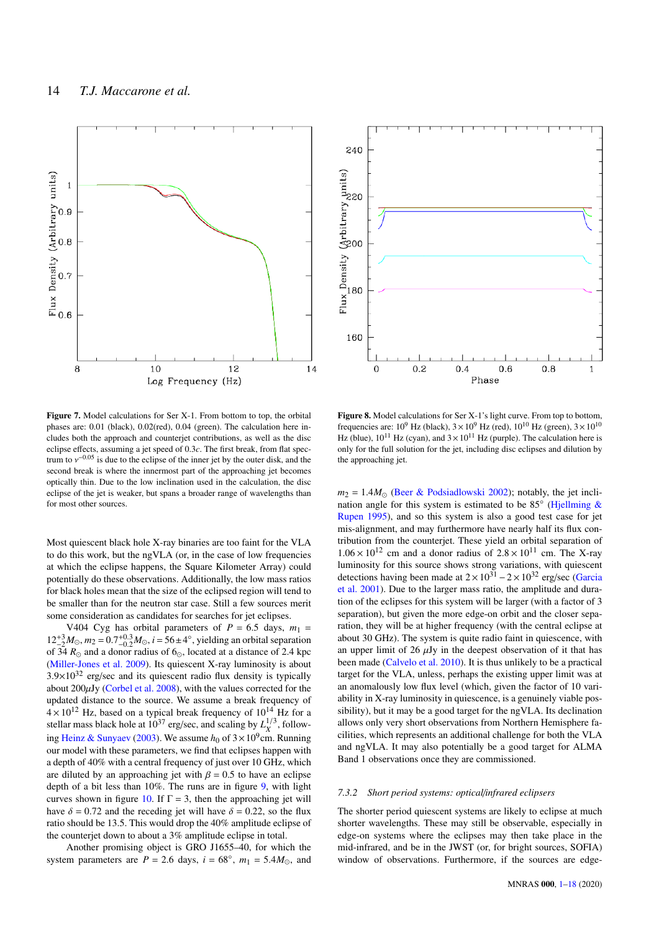

<span id="page-13-0"></span>Figure 7. Model calculations for Ser X-1. From bottom to top, the orbital phases are: 0.01 (black), 0.02(red), 0.04 (green). The calculation here includes both the approach and counterjet contributions, as well as the disc eclipse effects, assuming a jet speed of 0.3*c*. The first break, from flat spectrum to  $v^{-0.05}$  is due to the eclipse of the inner jet by the outer disk, and the second break is where the innermost part of the approaching ist becomes second break is where the innermost part of the approaching jet becomes optically thin. Due to the low inclination used in the calculation, the disc eclipse of the jet is weaker, but spans a broader range of wavelengths than for most other sources.

Most quiescent black hole X-ray binaries are too faint for the VLA to do this work, but the ngVLA (or, in the case of low frequencies at which the eclipse happens, the Square Kilometer Array) could potentially do these observations. Additionally, the low mass ratios for black holes mean that the size of the eclipsed region will tend to be smaller than for the neutron star case. Still a few sources merit some consideration as candidates for searches for jet eclipses.

V404 Cyg has orbital parameters of  $P = 6.5$  days,  $m_1 =$  $12^{+3}_{-2}M_{\odot}$ ,  $m_2 = 0.7^{+0.3}_{-0.2}M_{\odot}$ ,  $i = 56 \pm 4^{\circ}$ , yielding an orbital separation<br>of 34  $R_{\odot}$  and a donor radius of 6<sub>0</sub>, located at a distance of 2.4 kpc of  $34 R_{\odot}$  and a donor radius of 6<sub>0</sub>, located at a distance of 2.4 kpc [\(Miller-Jones et al.](#page-16-83) [2009\)](#page-16-83). Its quiescent X-ray luminosity is about  $3.9 \times 10^{32}$  erg/sec and its quiescent radio flux density is typically about  $200\mu$ Jy [\(Corbel et al.](#page-16-84) [2008\)](#page-16-84), with the values corrected for the updated distance to the source. We assume a break frequency of  $4 \times 10^{12}$  Hz, based on a typical break frequency of  $10^{14}$  Hz for a stellar mass black hole at  $10^{37}$  erg/sec, and scaling by  $L_X^{1/3}$ , follow-ing [Heinz & Sunyaev](#page-16-42) [\(2003\)](#page-16-42). We assume  $h_0$  of  $3 \times 10^9$ cm. Running our model with these parameters, we find that eclipses happen with a depth of 40% with a central frequency of just over 10 GHz, which are diluted by an approaching jet with  $\beta = 0.5$  to have an eclipse depth of a bit less than 10%. The runs are in figure [9,](#page-14-0) with light curves shown in figure [10.](#page-14-1) If  $\Gamma = 3$ , then the approaching jet will have  $\delta = 0.72$  and the receding jet will have  $\delta = 0.22$ , so the flux ratio should be 13.5. This would drop the 40% amplitude eclipse of the counterjet down to about a 3% amplitude eclipse in total.

Another promising object is GRO J1655–40, for which the system parameters are  $P = 2.6$  days,  $i = 68^\circ$ ,  $m_1 = 5.4 M_\odot$ , and



<span id="page-13-1"></span>Figure 8. Model calculations for Ser X-1's light curve. From top to bottom, frequencies are:  $10^9$  Hz (black),  $3 \times 10^9$  Hz (red),  $10^{10}$  Hz (green),  $3 \times 10^{10}$ Hz (blue),  $10^{11}$  Hz (cyan), and  $3 \times 10^{11}$  Hz (purple). The calculation here is only for the full solution for the jet, including disc eclipses and dilution by the approaching jet.

 $m_2 = 1.4 M_{\odot}$  [\(Beer & Podsiadlowski](#page-15-7) [2002\)](#page-15-7); notably, the jet incli-nation angle for this system is estimated to be 85° [\(Hjellming &](#page-16-25) [Rupen](#page-16-25) [1995\)](#page-16-25), and so this system is also a good test case for jet mis-alignment, and may furthermore have nearly half its flux contribution from the counterjet. These yield an orbital separation of  $1.06 \times 10^{12}$  cm and a donor radius of  $2.8 \times 10^{11}$  cm. The X-ray luminosity for this source shows strong variations, with quiescent detections having been made at  $2 \times 10^{31} - 2 \times 10^{32}$  erg/sec [\(Garcia](#page-16-85) [et al.](#page-16-85) [2001\)](#page-16-85). Due to the larger mass ratio, the amplitude and duration of the eclipses for this system will be larger (with a factor of 3 separation), but given the more edge-on orbit and the closer separation, they will be at higher frequency (with the central eclipse at about 30 GHz). The system is quite radio faint in quiescence, with an upper limit of 26  $\mu$ Jy in the deepest observation of it that has been made [\(Calvelo et al.](#page-15-13) [2010\)](#page-15-13). It is thus unlikely to be a practical target for the VLA, unless, perhaps the existing upper limit was at an anomalously low flux level (which, given the factor of 10 variability in X-ray luminosity in quiescence, is a genuinely viable possibility), but it may be a good target for the ngVLA. Its declination allows only very short observations from Northern Hemisphere facilities, which represents an additional challenge for both the VLA and ngVLA. It may also potentially be a good target for ALMA Band 1 observations once they are commissioned.

#### *7.3.2 Short period systems: optical*/*infrared eclipsers*

The shorter period quiescent systems are likely to eclipse at much shorter wavelengths. These may still be observable, especially in edge-on systems where the eclipses may then take place in the mid-infrared, and be in the JWST (or, for bright sources, SOFIA) window of observations. Furthermore, if the sources are edge-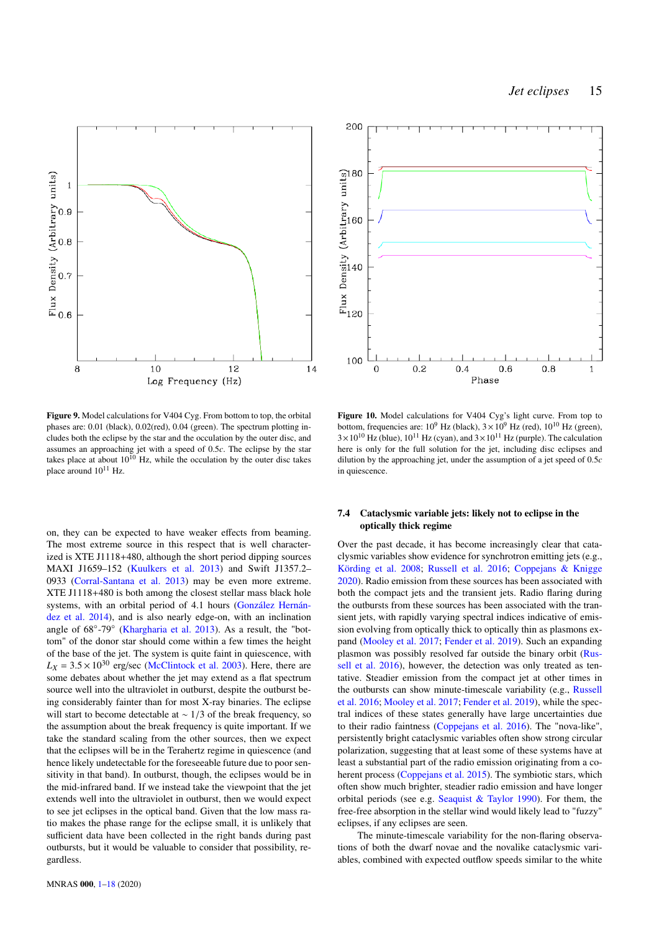

<span id="page-14-0"></span>Figure 9. Model calculations for V404 Cyg. From bottom to top, the orbital phases are: 0.01 (black), 0.02(red), 0.04 (green). The spectrum plotting includes both the eclipse by the star and the occulation by the outer disc, and assumes an approaching jet with a speed of 0.5*c*. The eclipse by the star takes place at about  $10^{10}$  Hz, while the occulation by the outer disc takes place around  $10^{11}$  Hz.

on, they can be expected to have weaker effects from beaming. The most extreme source in this respect that is well characterized is XTE J1118+480, although the short period dipping sources MAXI J1659–152 [\(Kuulkers et al.](#page-16-86) [2013\)](#page-16-86) and Swift J1357.2– 0933 [\(Corral-Santana et al.](#page-16-87) [2013\)](#page-16-87) may be even more extreme. XTE J1118+480 is both among the closest stellar mass black hole systems, with an orbital period of 4.1 hours [\(González Hernán](#page-16-88)[dez et al.](#page-16-88) [2014\)](#page-16-88), and is also nearly edge-on, with an inclination angle of 68◦ -79◦ [\(Khargharia et al.](#page-16-89) [2013\)](#page-16-89). As a result, the "bottom" of the donor star should come within a few times the height of the base of the jet. The system is quite faint in quiescence, with  $L_X$  = 3.5 × 10<sup>30</sup> erg/sec [\(McClintock et al.](#page-16-90) [2003\)](#page-16-90). Here, there are some debates about whether the jet may extend as a flat spectrum source well into the ultraviolet in outburst, despite the outburst being considerably fainter than for most X-ray binaries. The eclipse will start to become detectable at  $\sim 1/3$  of the break frequency, so the assumption about the break frequency is quite important. If we take the standard scaling from the other sources, then we expect that the eclipses will be in the Terahertz regime in quiescence (and hence likely undetectable for the foreseeable future due to poor sensitivity in that band). In outburst, though, the eclipses would be in the mid-infrared band. If we instead take the viewpoint that the jet extends well into the ultraviolet in outburst, then we would expect to see jet eclipses in the optical band. Given that the low mass ratio makes the phase range for the eclipse small, it is unlikely that sufficient data have been collected in the right bands during past outbursts, but it would be valuable to consider that possibility, regardless.



<span id="page-14-1"></span>Figure 10. Model calculations for V404 Cyg's light curve. From top to bottom, frequencies are:  $10^9$  Hz (black),  $3 \times 10^9$  Hz (red),  $10^{10}$  Hz (green),  $3 \times 10^{10}$  Hz (blue),  $10^{11}$  Hz (cyan), and  $3 \times 10^{11}$  Hz (purple). The calculation here is only for the full solution for the jet, including disc eclipses and dilution by the approaching jet, under the assumption of a jet speed of 0.5*<sup>c</sup>* in quiescence.

# 7.4 Cataclysmic variable jets: likely not to eclipse in the optically thick regime

Over the past decade, it has become increasingly clear that cataclysmic variables show evidence for synchrotron emitting jets (e.g., [Körding et al.](#page-16-91) [2008;](#page-16-91) [Russell et al.](#page-16-92) [2016;](#page-16-92) [Coppejans & Knigge](#page-16-93) [2020\)](#page-16-93). Radio emission from these sources has been associated with both the compact jets and the transient jets. Radio flaring during the outbursts from these sources has been associated with the transient jets, with rapidly varying spectral indices indicative of emission evolving from optically thick to optically thin as plasmons expand [\(Mooley et al.](#page-16-94) [2017;](#page-16-94) [Fender et al.](#page-16-95) [2019\)](#page-16-95). Such an expanding plasmon was possibly resolved far outside the binary orbit [\(Rus](#page-16-92)[sell et al.](#page-16-92) [2016\)](#page-16-92), however, the detection was only treated as tentative. Steadier emission from the compact jet at other times in the outbursts can show minute-timescale variability (e.g., [Russell](#page-16-92) [et al.](#page-16-92) [2016;](#page-16-92) [Mooley et al.](#page-16-94) [2017;](#page-16-94) [Fender et al.](#page-16-95) [2019\)](#page-16-95), while the spectral indices of these states generally have large uncertainties due to their radio faintness [\(Coppejans et al.](#page-16-96) [2016\)](#page-16-96). The "nova-like", persistently bright cataclysmic variables often show strong circular polarization, suggesting that at least some of these systems have at least a substantial part of the radio emission originating from a coherent process [\(Coppejans et al.](#page-16-97) [2015\)](#page-16-97). The symbiotic stars, which often show much brighter, steadier radio emission and have longer orbital periods (see e.g. [Seaquist & Taylor](#page-17-32) [1990\)](#page-17-32). For them, the free-free absorption in the stellar wind would likely lead to "fuzzy" eclipses, if any eclipses are seen.

The minute-timescale variability for the non-flaring observations of both the dwarf novae and the novalike cataclysmic variables, combined with expected outflow speeds similar to the white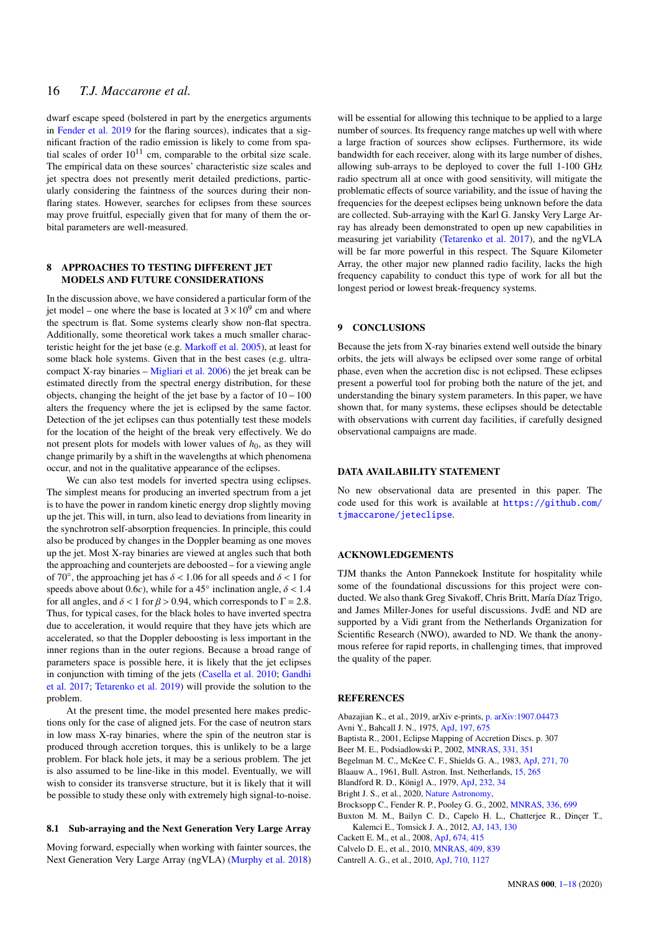dwarf escape speed (bolstered in part by the energetics arguments in [Fender et al.](#page-16-95) [2019](#page-16-95) for the flaring sources), indicates that a significant fraction of the radio emission is likely to come from spatial scales of order  $10^{11}$  cm, comparable to the orbital size scale. The empirical data on these sources' characteristic size scales and jet spectra does not presently merit detailed predictions, particularly considering the faintness of the sources during their nonflaring states. However, searches for eclipses from these sources may prove fruitful, especially given that for many of them the orbital parameters are well-measured.

## 8 APPROACHES TO TESTING DIFFERENT JET MODELS AND FUTURE CONSIDERATIONS

In the discussion above, we have considered a particular form of the jet model – one where the base is located at  $3 \times 10^9$  cm and where the spectrum is flat. Some systems clearly show non-flat spectra. Additionally, some theoretical work takes a much smaller characteristic height for the jet base (e.g. [Marko](#page-16-98)ff et al. [2005\)](#page-16-98), at least for some black hole systems. Given that in the best cases (e.g. ultracompact X-ray binaries – [Migliari et al.](#page-16-54) [2006\)](#page-16-54) the jet break can be estimated directly from the spectral energy distribution, for these objects, changing the height of the jet base by a factor of 10−100 alters the frequency where the jet is eclipsed by the same factor. Detection of the jet eclipses can thus potentially test these models for the location of the height of the break very effectively. We do not present plots for models with lower values of *h*0, as they will change primarily by a shift in the wavelengths at which phenomena occur, and not in the qualitative appearance of the eclipses.

We can also test models for inverted spectra using eclipses. The simplest means for producing an inverted spectrum from a jet is to have the power in random kinetic energy drop slightly moving up the jet. This will, in turn, also lead to deviations from linearity in the synchrotron self-absorption frequencies. In principle, this could also be produced by changes in the Doppler beaming as one moves up the jet. Most X-ray binaries are viewed at angles such that both the approaching and counterjets are deboosted – for a viewing angle of 70°, the approaching jet has  $\delta < 1.06$  for all speeds and  $\delta < 1$  for speeds above about  $0.6c$ ), while for a 45° inclination angle  $\delta < 1.4$ speeds above about 0.6*c*), while for a 45<sup>°</sup> inclination angle,  $\delta$  < 1.4<br>for all angles, and  $\delta$  < 1 for  $\beta$  > 0.94, which corresponds to  $\Gamma$  = 2.8 for all angles, and  $\delta$  < 1 for  $\beta$  > 0.94, which corresponds to  $\Gamma$  = 2.8. Thus, for typical cases, for the black holes to have inverted spectra due to acceleration, it would require that they have jets which are accelerated, so that the Doppler deboosting is less important in the inner regions than in the outer regions. Because a broad range of parameters space is possible here, it is likely that the jet eclipses in conjunction with timing of the jets [\(Casella et al.](#page-16-17) [2010;](#page-16-17) [Gandhi](#page-16-18) [et al.](#page-16-18) [2017;](#page-16-18) [Tetarenko et al.](#page-17-8) [2019\)](#page-17-8) will provide the solution to the problem.

At the present time, the model presented here makes predictions only for the case of aligned jets. For the case of neutron stars in low mass X-ray binaries, where the spin of the neutron star is produced through accretion torques, this is unlikely to be a large problem. For black hole jets, it may be a serious problem. The jet is also assumed to be line-like in this model. Eventually, we will wish to consider its transverse structure, but it is likely that it will be possible to study these only with extremely high signal-to-noise.

# 8.1 Sub-arraying and the Next Generation Very Large Array

Moving forward, especially when working with fainter sources, the Next Generation Very Large Array (ngVLA) [\(Murphy et al.](#page-16-99) [2018\)](#page-16-99)

will be essential for allowing this technique to be applied to a large number of sources. Its frequency range matches up well with where a large fraction of sources show eclipses. Furthermore, its wide bandwidth for each receiver, along with its large number of dishes, allowing sub-arrays to be deployed to cover the full 1-100 GHz radio spectrum all at once with good sensitivity, will mitigate the problematic effects of source variability, and the issue of having the frequencies for the deepest eclipses being unknown before the data are collected. Sub-arraying with the Karl G. Jansky Very Large Array has already been demonstrated to open up new capabilities in measuring jet variability [\(Tetarenko et al.](#page-17-33) [2017\)](#page-17-33), and the ngVLA will be far more powerful in this respect. The Square Kilometer Array, the other major new planned radio facility, lacks the high frequency capability to conduct this type of work for all but the longest period or lowest break-frequency systems.

#### <span id="page-15-0"></span>9 CONCLUSIONS

Because the jets from X-ray binaries extend well outside the binary orbits, the jets will always be eclipsed over some range of orbital phase, even when the accretion disc is not eclipsed. These eclipses present a powerful tool for probing both the nature of the jet, and understanding the binary system parameters. In this paper, we have shown that, for many systems, these eclipses should be detectable with observations with current day facilities, if carefully designed observational campaigns are made.

# DATA AVAILABILITY STATEMENT

No new observational data are presented in this paper. The code used for this work is available at [https://github.com/](https://github.com/tjmaccarone/jeteclipse) [tjmaccarone/jeteclipse](https://github.com/tjmaccarone/jeteclipse).

## **ACKNOWLEDGEMENTS**

TJM thanks the Anton Pannekoek Institute for hospitality while some of the foundational discussions for this project were conducted. We also thank Greg Sivakoff, Chris Britt, María Díaz Trigo, and James Miller-Jones for useful discussions. JvdE and ND are supported by a Vidi grant from the Netherlands Organization for Scientific Research (NWO), awarded to ND. We thank the anonymous referee for rapid reports, in challenging times, that improved the quality of the paper.

# **REFERENCES**

- <span id="page-15-11"></span>Abazajian K., et al., 2019, arXiv e-prints, [p. arXiv:1907.04473](https://ui.adsabs.harvard.edu/abs/2019arXiv190704473A)
- <span id="page-15-5"></span>Avni Y., Bahcall J. N., 1975, [ApJ,](http://dx.doi.org/10.1086/153558) [197, 675](https://ui.adsabs.harvard.edu/abs/1975ApJ...197..675A)
- <span id="page-15-1"></span>Baptista R., 2001, Eclipse Mapping of Accretion Discs. p. 307
- <span id="page-15-7"></span>Beer M. E., Podsiadlowski P., 2002, [MNRAS,](http://dx.doi.org/10.1046/j.1365-8711.2002.05189.x) [331, 351](https://ui.adsabs.harvard.edu/abs/2002MNRAS.331..351B)
- <span id="page-15-2"></span>Begelman M. C., McKee C. F., Shields G. A., 1983, [ApJ,](http://dx.doi.org/10.1086/161178) [271, 70](https://ui.adsabs.harvard.edu/abs/1983ApJ...271...70B)
- <span id="page-15-8"></span>Blaauw A., 1961, Bull. Astron. Inst. Netherlands, [15, 265](https://ui.adsabs.harvard.edu/abs/1961BAN....15..265B)
- <span id="page-15-9"></span><span id="page-15-3"></span>Blandford R. D., Königl A., 1979, [ApJ,](http://dx.doi.org/10.1086/157262) [232, 34](https://ui.adsabs.harvard.edu/abs/1979ApJ...232...34B) Bright J. S., et al., 2020, [Nature Astronomy,](http://dx.doi.org/10.1038/s41550-020-1023-5)
- <span id="page-15-4"></span>Brocksopp C., Fender R. P., Pooley G. G., 2002, [MNRAS,](http://dx.doi.org/10.1046/j.1365-8711.2002.05813.x) [336, 699](https://ui.adsabs.harvard.edu/abs/2002MNRAS.336..699B)
- <span id="page-15-10"></span>Buxton M. M., Bailyn C. D., Capelo H. L., Chatterjee R., Dinçer T.,
- <span id="page-15-12"></span>Kalemci E., Tomsick J. A., 2012, [AJ,](http://dx.doi.org/10.1088/0004-6256/143/6/130) [143, 130](https://ui.adsabs.harvard.edu/abs/2012AJ....143..130B) Cackett E. M., et al., 2008, [ApJ,](http://dx.doi.org/10.1086/524936) [674, 415](https://ui.adsabs.harvard.edu/abs/2008ApJ...674..415C)
- <span id="page-15-13"></span>Calvelo D. E., et al., 2010, [MNRAS,](http://dx.doi.org/10.1111/j.1365-2966.2010.17348.x) [409, 839](https://ui.adsabs.harvard.edu/abs/2010MNRAS.409..839C)
- <span id="page-15-6"></span>Cantrell A. G., et al., 2010, [ApJ,](http://dx.doi.org/10.1088/0004-637X/710/2/1127) [710, 1127](https://ui.adsabs.harvard.edu/abs/2010ApJ...710.1127C)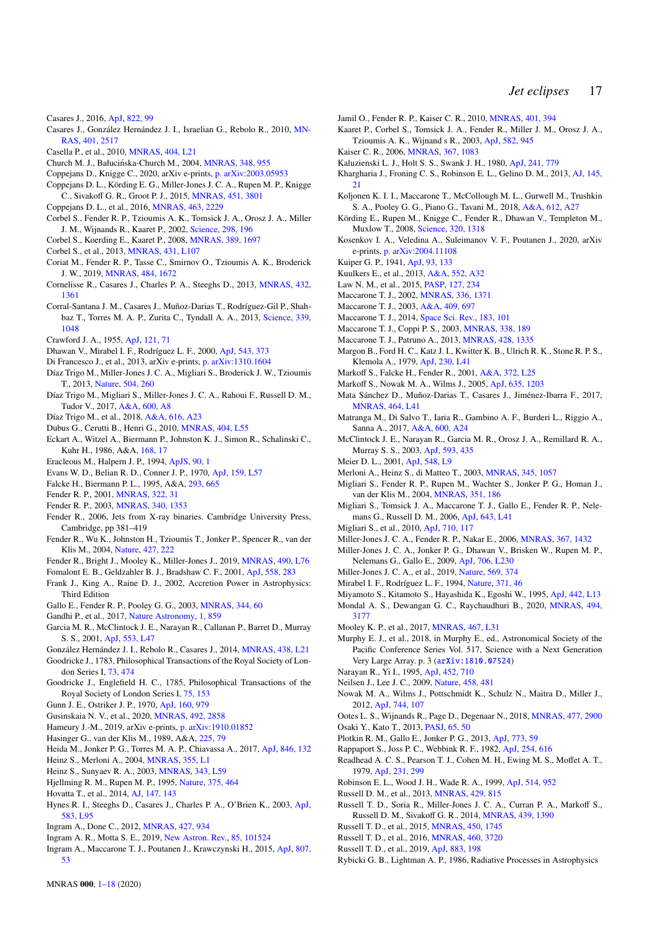<span id="page-16-59"></span>Casares J., 2016, [ApJ,](http://dx.doi.org/10.3847/0004-637X/822/2/99) [822, 99](https://ui.adsabs.harvard.edu/abs/2016ApJ...822...99C)

- <span id="page-16-72"></span>Casares J., González Hernández J. I., Israelian G., Rebolo R., 2010, [MN-](http://dx.doi.org/10.1111/j.1365-2966.2009.15828.x)[RAS,](http://dx.doi.org/10.1111/j.1365-2966.2009.15828.x) [401, 2517](https://ui.adsabs.harvard.edu/abs/2010MNRAS.401.2517C)
- <span id="page-16-17"></span>Casella P., et al., 2010, [MNRAS,](http://dx.doi.org/10.1111/j.1745-3933.2010.00826.x) [404, L21](https://ui.adsabs.harvard.edu/abs/2010MNRAS.404L..21C)
- <span id="page-16-6"></span>Church M. J., Bałucińska-Church M., 2004, *MNRAS*, [348, 955](https://ui.adsabs.harvard.edu/abs/2004MNRAS.348..955C)
- <span id="page-16-93"></span>Coppejans D., Knigge C., 2020, arXiv e-prints, [p. arXiv:2003.05953](https://ui.adsabs.harvard.edu/abs/2020arXiv200305953C)
- <span id="page-16-97"></span>Coppejans D. L., Körding E. G., Miller-Jones J. C. A., Rupen M. P., Knigge C., Sivakoff G. R., Groot P. J., 2015, [MNRAS,](http://dx.doi.org/10.1093/mnras/stv1225) [451, 3801](https://ui.adsabs.harvard.edu/abs/2015MNRAS.451.3801C)
- <span id="page-16-96"></span>Coppejans D. L., et al., 2016, [MNRAS,](http://dx.doi.org/10.1093/mnras/stw2133) [463, 2229](https://ui.adsabs.harvard.edu/abs/2016MNRAS.463.2229C)
- <span id="page-16-32"></span>Corbel S., Fender R. P., Tzioumis A. K., Tomsick J. A., Orosz J. A., Miller J. M., Wijnands R., Kaaret P., 2002, [Science,](http://dx.doi.org/10.1126/science.1075857) [298, 196](http://adsabs.harvard.edu/abs/2002Sci...298..196C)
- <span id="page-16-84"></span>Corbel S., Koerding E., Kaaret P., 2008, [MNRAS,](http://dx.doi.org/10.1111/j.1365-2966.2008.13542.x) [389, 1697](https://ui.adsabs.harvard.edu/abs/2008MNRAS.389.1697C)
- <span id="page-16-12"></span>Corbel S., et al., 2013, [MNRAS,](http://dx.doi.org/10.1093/mnrasl/slt018) [431, L107](http://adsabs.harvard.edu/abs/2013MNRAS.431L.107C)
- <span id="page-16-58"></span>Coriat M., Fender R. P., Tasse C., Smirnov O., Tzioumis A. K., Broderick J. W., 2019, [MNRAS,](http://dx.doi.org/10.1093/mnras/stz099) [484, 1672](https://ui.adsabs.harvard.edu/abs/2019MNRAS.484.1672C)
- <span id="page-16-80"></span>Cornelisse R., Casares J., Charles P. A., Steeghs D., 2013, [MNRAS,](http://dx.doi.org/10.1093/mnras/stt554) [432,](https://ui.adsabs.harvard.edu/abs/2013MNRAS.432.1361C) [1361](https://ui.adsabs.harvard.edu/abs/2013MNRAS.432.1361C)
- <span id="page-16-87"></span>Corral-Santana J. M., Casares J., Muñoz-Darias T., Rodríguez-Gil P., Shahbaz T., Torres M. A. P., Zurita C., Tyndall A. A., 2013, [Science,](http://dx.doi.org/10.1126/science.1228222) [339,](https://ui.adsabs.harvard.edu/abs/2013Sci...339.1048C) [1048](https://ui.adsabs.harvard.edu/abs/2013Sci...339.1048C)
- <span id="page-16-3"></span>Crawford J. A., 1955, [ApJ,](http://dx.doi.org/10.1086/145965) [121, 71](https://ui.adsabs.harvard.edu/abs/1955ApJ...121...71C)
- <span id="page-16-9"></span>Dhawan V., Mirabel I. F., Rodríguez L. F., 2000, [ApJ,](http://dx.doi.org/10.1086/317088) [543, 373](http://adsabs.harvard.edu/abs/2000ApJ...543..373D)
- <span id="page-16-79"></span>Di Francesco J., et al., 2013, arXiv e-prints, [p. arXiv:1310.1604](https://ui.adsabs.harvard.edu/abs/2013arXiv1310.1604D)
- <span id="page-16-8"></span>Díaz Trigo M., Miller-Jones J. C. A., Migliari S., Broderick J. W., Tzioumis T., 2013, [Nature,](http://dx.doi.org/10.1038/nature12672) [504, 260](https://ui.adsabs.harvard.edu/abs/2013Natur.504..260D)
- <span id="page-16-57"></span>Díaz Trigo M., Migliari S., Miller-Jones J. C. A., Rahoui F., Russell D. M., Tudor V., 2017, [A&A,](http://dx.doi.org/10.1051/0004-6361/201629472) [600, A8](https://ui.adsabs.harvard.edu/abs/2017A&A...600A...8D)
- <span id="page-16-56"></span>Díaz Trigo M., et al., 2018, [A&A,](http://dx.doi.org/10.1051/0004-6361/201832693) [616, A23](https://ui.adsabs.harvard.edu/abs/2018A&A...616A..23D)
- <span id="page-16-26"></span>Dubus G., Cerutti B., Henri G., 2010, [MNRAS,](http://dx.doi.org/10.1111/j.1745-3933.2010.00834.x) [404, L55](https://ui.adsabs.harvard.edu/abs/2010MNRAS.404L..55D)
- <span id="page-16-40"></span>Eckart A., Witzel A., Biermann P., Johnston K. J., Simon R., Schalinski C., Kuhr H., 1986, A&A, [168, 17](https://ui.adsabs.harvard.edu/abs/1986A&A...168...17E)
- <span id="page-16-61"></span>Eracleous M., Halpern J. P., 1994, [ApJS,](http://dx.doi.org/10.1086/191856) [90, 1](https://ui.adsabs.harvard.edu/abs/1994ApJS...90....1E)
- <span id="page-16-75"></span>Evans W. D., Belian R. D., Conner J. P., 1970, [ApJ,](http://dx.doi.org/10.1086/180477) [159, L57](https://ui.adsabs.harvard.edu/abs/1970ApJ...159L..57E)
- <span id="page-16-13"></span>Falcke H., Biermann P. L., 1995, A&A, [293, 665](http://adsabs.harvard.edu/abs/1995A%26A...293..665F)
- <span id="page-16-11"></span>Fender R. P., 2001, [MNRAS,](http://dx.doi.org/10.1046/j.1365-8711.2001.04080.x) [322, 31](http://adsabs.harvard.edu/abs/2001MNRAS.322...31F)
- <span id="page-16-22"></span>Fender R. P., 2003, [MNRAS,](http://dx.doi.org/10.1046/j.1365-8711.2003.06386.x) [340, 1353](https://ui.adsabs.harvard.edu/abs/2003MNRAS.340.1353F)
- <span id="page-16-33"></span>Fender R., 2006, Jets from X-ray binaries. Cambridge University Press, Cambridge, pp 381–419
- <span id="page-16-30"></span>Fender R., Wu K., Johnston H., Tzioumis T., Jonker P., Spencer R., van der Klis M., 2004, [Nature,](http://dx.doi.org/10.1038/nature02137) [427, 222](https://ui.adsabs.harvard.edu/abs/2004Natur.427..222F)
- <span id="page-16-95"></span>Fender R., Bright J., Mooley K., Miller-Jones J., 2019, [MNRAS,](http://dx.doi.org/10.1093/mnrasl/slz145) [490, L76](https://ui.adsabs.harvard.edu/abs/2019MNRAS.490L..76F)
- <span id="page-16-29"></span>Fomalont E. B., Geldzahler B. J., Bradshaw C. F., 2001, [ApJ,](http://dx.doi.org/10.1086/322479) [558, 283](https://ui.adsabs.harvard.edu/abs/2001ApJ...558..283F)
- <span id="page-16-66"></span>Frank J., King A., Raine D. J., 2002, Accretion Power in Astrophysics: Third Edition
- <span id="page-16-35"></span>Gallo E., Fender R. P., Pooley G. G., 2003, [MNRAS,](http://dx.doi.org/10.1046/j.1365-8711.2003.06791.x) [344, 60](https://ui.adsabs.harvard.edu/abs/2003MNRAS.344...60G)
- <span id="page-16-18"></span>Gandhi P., et al., 2017, [Nature Astronomy,](http://dx.doi.org/10.1038/s41550-017-0273-3) [1, 859](https://ui.adsabs.harvard.edu/abs/2017NatAs...1..859G)
- <span id="page-16-85"></span>Garcia M. R., McClintock J. E., Narayan R., Callanan P., Barret D., Murray S. S., 2001, [ApJ,](http://dx.doi.org/10.1086/320494) [553, L47](https://ui.adsabs.harvard.edu/abs/2001ApJ...553L..47G)
- <span id="page-16-88"></span>González Hernández J. I., Rebolo R., Casares J., 2014, [MNRAS,](http://dx.doi.org/10.1093/mnrasl/slt150) [438, L21](https://ui.adsabs.harvard.edu/abs/2014MNRAS.438L..21G)
- <span id="page-16-0"></span>Goodricke J., 1783, Philosophical Transactions of the Royal Society of London Series I, [73, 474](https://ui.adsabs.harvard.edu/abs/1783RSPT...73..474G)
- <span id="page-16-1"></span>Goodricke J., Englefield H. C., 1785, Philosophical Transactions of the Royal Society of London Series I, [75, 153](https://ui.adsabs.harvard.edu/abs/1785RSPT...75..153G)
- <span id="page-16-27"></span>Gunn J. E., Ostriker J. P., 1970, [ApJ,](http://dx.doi.org/10.1086/150487) [160, 979](https://ui.adsabs.harvard.edu/abs/1970ApJ...160..979G)
- <span id="page-16-78"></span>Gusinskaia N. V., et al., 2020, [MNRAS,](http://dx.doi.org/10.1093/mnras/stz3420) [492, 2858](https://ui.adsabs.harvard.edu/abs/2020MNRAS.492.2858G)
- <span id="page-16-71"></span><span id="page-16-65"></span>Hameury J.-M., 2019, arXiv e-prints, [p. arXiv:1910.01852](https://ui.adsabs.harvard.edu/abs/2019arXiv191001852H)
- Hasinger G., van der Klis M., 1989, A&A, [225, 79](https://ui.adsabs.harvard.edu/abs/1989A&A...225...79H)
- <span id="page-16-63"></span>Heida M., Jonker P. G., Torres M. A. P., Chiavassa A., 2017, [ApJ,](http://dx.doi.org/10.3847/1538-4357/aa85df) [846, 132](https://ui.adsabs.harvard.edu/abs/2017ApJ...846..132H)
- <span id="page-16-36"></span>Heinz S., Merloni A., 2004, [MNRAS,](http://dx.doi.org/10.1111/j.1365-2966.2004.08461.x) [355, L1](https://ui.adsabs.harvard.edu/abs/2004MNRAS.355L...1H)
- <span id="page-16-42"></span>Heinz S., Sunyaev R. A., 2003, [MNRAS,](http://dx.doi.org/10.1046/j.1365-8711.2003.06918.x) [343, L59](https://ui.adsabs.harvard.edu/abs/2003MNRAS.343L..59H)
- <span id="page-16-25"></span>Hjellming R. M., Rupen M. P., 1995, [Nature,](http://dx.doi.org/10.1038/375464a0) [375, 464](https://ui.adsabs.harvard.edu/abs/1995Natur.375..464H)
- <span id="page-16-41"></span>Hovatta T., et al., 2014, [AJ,](http://dx.doi.org/10.1088/0004-6256/147/6/143) [147, 143](https://ui.adsabs.harvard.edu/abs/2014AJ....147..143H)

MNRAS 000, [1](#page-0-0)[–18](#page-15-0) (2020)

- <span id="page-16-62"></span>Hynes R. I., Steeghs D., Casares J., Charles P. A., O'Brien K., 2003, [ApJ,](http://dx.doi.org/10.1086/368108) [583, L95](https://ui.adsabs.harvard.edu/abs/2003ApJ...583L..95H)
- <span id="page-16-19"></span>Ingram A., Done C., 2012, [MNRAS,](http://dx.doi.org/10.1111/j.1365-2966.2012.21907.x) [427, 934](https://ui.adsabs.harvard.edu/abs/2012MNRAS.427..934I)
- <span id="page-16-20"></span>Ingram A. R., Motta S. E., 2019, [New Astron. Rev.,](http://dx.doi.org/10.1016/j.newar.2020.101524) [85, 101524](https://ui.adsabs.harvard.edu/abs/2019NewAR..8501524I)
- <span id="page-16-21"></span>Ingram A., Maccarone T. J., Poutanen J., Krawczynski H., 2015, [ApJ,](http://dx.doi.org/10.1088/0004-637X/807/1/53) [807,](https://ui.adsabs.harvard.edu/abs/2015ApJ...807...53I) [53](https://ui.adsabs.harvard.edu/abs/2015ApJ...807...53I)
- <span id="page-16-15"></span>Jamil O., Fender R. P., Kaiser C. R., 2010, [MNRAS,](http://dx.doi.org/10.1111/j.1365-2966.2009.15652.x) [401, 394](http://adsabs.harvard.edu/abs/2010MNRAS.401..394J)
- <span id="page-16-37"></span>Kaaret P., Corbel S., Tomsick J. A., Fender R., Miller J. M., Orosz J. A., Tzioumis A. K., Wijnand s R., 2003, [ApJ,](http://dx.doi.org/10.1086/344540) [582, 945](https://ui.adsabs.harvard.edu/abs/2003ApJ...582..945K)
- <span id="page-16-14"></span>Kaiser C. R., 2006, [MNRAS,](http://dx.doi.org/10.1111/j.1365-2966.2006.10030.x) [367, 1083](http://adsabs.harvard.edu/abs/2006MNRAS.367.1083K)
- <span id="page-16-76"></span>Kaluzienski L. J., Holt S. S., Swank J. H., 1980, [ApJ,](http://dx.doi.org/10.1086/158388) [241, 779](https://ui.adsabs.harvard.edu/abs/1980ApJ...241..779K)
- <span id="page-16-89"></span>Khargharia J., Froning C. S., Robinson E. L., Gelino D. M., 2013, [AJ,](http://dx.doi.org/10.1088/0004-6256/145/1/21) [145,](https://ui.adsabs.harvard.edu/abs/2013AJ....145...21K) [21](https://ui.adsabs.harvard.edu/abs/2013AJ....145...21K)
- <span id="page-16-34"></span>Koljonen K. I. I., Maccarone T., McCollough M. L., Gurwell M., Trushkin S. A., Pooley G. G., Piano G., Tavani M., 2018, [A&A,](http://dx.doi.org/10.1051/0004-6361/201732284) [612, A27](https://ui.adsabs.harvard.edu/abs/2018A&A...612A..27K)
- <span id="page-16-91"></span>Körding E., Rupen M., Knigge C., Fender R., Dhawan V., Templeton M., Muxlow T., 2008, [Science,](http://dx.doi.org/10.1126/science.1155492) [320, 1318](https://ui.adsabs.harvard.edu/abs/2008Sci...320.1318K)
- <span id="page-16-51"></span>Kosenkov I. A., Veledina A., Suleimanov V. F., Poutanen J., 2020, arXiv e-prints, [p. arXiv:2004.11108](https://ui.adsabs.harvard.edu/abs/2020arXiv200411108K)

<span id="page-16-2"></span>Kuiper G. P., 1941, [ApJ,](http://dx.doi.org/10.1086/144252) [93, 133](https://ui.adsabs.harvard.edu/abs/1941ApJ....93..133K)

- <span id="page-16-86"></span>Kuulkers E., et al., 2013, [A&A,](http://dx.doi.org/10.1051/0004-6361/201219447) [552, A32](https://ui.adsabs.harvard.edu/abs/2013A&A...552A..32K)
- <span id="page-16-69"></span>Law N. M., et al., 2015, [PASP,](http://dx.doi.org/10.1086/680521) [127, 234](https://ui.adsabs.harvard.edu/abs/2015PASP..127..234L)
- <span id="page-16-24"></span>Maccarone T. J., 2002, [MNRAS,](http://dx.doi.org/10.1046/j.1365-8711.2002.05876.x) [336, 1371](https://ui.adsabs.harvard.edu/abs/2002MNRAS.336.1371M)
- <span id="page-16-45"></span>Maccarone T. J., 2003, [A&A,](http://dx.doi.org/10.1051/0004-6361:20031146) [409, 697](https://ui.adsabs.harvard.edu/abs/2003A&A...409..697M)
- <span id="page-16-4"></span>Maccarone T. J., 2014, [Space Sci. Rev.,](http://dx.doi.org/10.1007/s11214-013-0032-4) [183, 101](https://ui.adsabs.harvard.edu/abs/2014SSRv..183..101M)
- <span id="page-16-47"></span>Maccarone T. J., Coppi P. S., 2003, [MNRAS,](http://dx.doi.org/10.1046/j.1365-8711.2003.06040.x) [338, 189](https://ui.adsabs.harvard.edu/abs/2003MNRAS.338..189M)
- <span id="page-16-68"></span>Maccarone T. J., Patruno A., 2013, [MNRAS,](http://dx.doi.org/10.1093/mnras/sts113) [428, 1335](https://ui.adsabs.harvard.edu/abs/2013MNRAS.428.1335M)
- <span id="page-16-7"></span>Margon B., Ford H. C., Katz J. I., Kwitter K. B., Ulrich R. K., Stone R. P. S., Klemola A., 1979, [ApJ,](http://dx.doi.org/10.1086/182958) [230, L41](https://ui.adsabs.harvard.edu/abs/1979ApJ...230L..41M)
- <span id="page-16-52"></span>Markoff S., Falcke H., Fender R., 2001, [A&A,](http://dx.doi.org/10.1051/0004-6361:20010420) [372, L25](https://ui.adsabs.harvard.edu/abs/2001A&A...372L..25M)
- <span id="page-16-98"></span>Markoff S., Nowak M. A., Wilms J., 2005, [ApJ,](http://dx.doi.org/10.1086/497628) [635, 1203](https://ui.adsabs.harvard.edu/abs/2005ApJ...635.1203M)
- <span id="page-16-77"></span>Mata Sánchez D., Muñoz-Darias T., Casares J., Jiménez-Ibarra F., 2017, [MNRAS,](http://dx.doi.org/10.1093/mnrasl/slw172) [464, L41](https://ui.adsabs.harvard.edu/abs/2017MNRAS.464L..41M)
- <span id="page-16-81"></span>Matranga M., Di Salvo T., Iaria R., Gambino A. F., Burderi L., Riggio A., Sanna A., 2017, [A&A,](http://dx.doi.org/10.1051/0004-6361/201628576) [600, A24](https://ui.adsabs.harvard.edu/abs/2017A&A...600A..24M)
- <span id="page-16-90"></span>McClintock J. E., Narayan R., Garcia M. R., Orosz J. A., Remillard R. A., Murray S. S., 2003, [ApJ,](http://dx.doi.org/10.1086/376406) [593, 435](https://ui.adsabs.harvard.edu/abs/2003ApJ...593..435M)
- <span id="page-16-44"></span>Meier D. L., 2001, [ApJ,](http://dx.doi.org/10.1086/318921) [548, L9](https://ui.adsabs.harvard.edu/abs/2001ApJ...548L...9M)
- <span id="page-16-53"></span>Merloni A., Heinz S., di Matteo T., 2003, [MNRAS,](http://dx.doi.org/10.1046/j.1365-2966.2003.07017.x) [345, 1057](https://ui.adsabs.harvard.edu/abs/2003MNRAS.345.1057M)
- <span id="page-16-73"></span>Migliari S., Fender R. P., Rupen M., Wachter S., Jonker P. G., Homan J., van der Klis M., 2004, [MNRAS,](http://dx.doi.org/10.1111/j.1365-2966.2004.07768.x) [351, 186](https://ui.adsabs.harvard.edu/abs/2004MNRAS.351..186M)
- <span id="page-16-54"></span>Migliari S., Tomsick J. A., Maccarone T. J., Gallo E., Fender R. P., Nelemans G., Russell D. M., 2006, [ApJ,](http://dx.doi.org/10.1086/505028) [643, L41](https://ui.adsabs.harvard.edu/abs/2006ApJ...643L..41M)
- <span id="page-16-55"></span>Migliari S., et al., 2010, [ApJ,](http://dx.doi.org/10.1088/0004-637X/710/1/117) [710, 117](https://ui.adsabs.harvard.edu/abs/2010ApJ...710..117M)
- <span id="page-16-64"></span>Miller-Jones J. C. A., Fender R. P., Nakar E., 2006, [MNRAS,](http://dx.doi.org/10.1111/j.1365-2966.2006.10092.x) [367, 1432](https://ui.adsabs.harvard.edu/abs/2006MNRAS.367.1432M)
- <span id="page-16-83"></span>Miller-Jones J. C. A., Jonker P. G., Dhawan V., Brisken W., Rupen M. P., Nelemans G., Gallo E., 2009, [ApJ,](http://dx.doi.org/10.1088/0004-637X/706/2/L230) [706, L230](https://ui.adsabs.harvard.edu/abs/2009ApJ...706L.230M)
- <span id="page-16-23"></span>Miller-Jones J. C. A., et al., 2019, [Nature,](http://dx.doi.org/10.1038/s41586-019-1152-0) [569, 374](https://ui.adsabs.harvard.edu/abs/2019Natur.569..374M)
- <span id="page-16-31"></span>Mirabel I. F., Rodríguez L. F., 1994, [Nature,](http://dx.doi.org/10.1038/371046a0) [371, 46](http://adsabs.harvard.edu/abs/1994Natur.371...46M)
- <span id="page-16-46"></span>Miyamoto S., Kitamoto S., Hayashida K., Egoshi W., 1995, [ApJ,](http://dx.doi.org/10.1086/187804) [442, L13](https://ui.adsabs.harvard.edu/abs/1995ApJ...442L..13M)
- <span id="page-16-82"></span>Mondal A. S., Dewangan G. C., Raychaudhuri B., 2020, [MNRAS,](http://dx.doi.org/10.1093/mnras/staa1001) [494,](https://ui.adsabs.harvard.edu/abs/2020MNRAS.494.3177M) [3177](https://ui.adsabs.harvard.edu/abs/2020MNRAS.494.3177M)
- <span id="page-16-94"></span>Mooley K. P., et al., 2017, [MNRAS,](http://dx.doi.org/10.1093/mnrasl/slw243) [467, L31](https://ui.adsabs.harvard.edu/abs/2017MNRAS.467L..31M)
- <span id="page-16-99"></span>Murphy E. J., et al., 2018, in Murphy E., ed., Astronomical Society of the Pacific Conference Series Vol. 517, Science with a Next Generation Very Large Array. p. 3 ([arXiv:1810.07524](http://arxiv.org/abs/1810.07524))
- <span id="page-16-43"></span>Narayan R., Yi I., 1995, [ApJ,](http://dx.doi.org/10.1086/176343) [452, 710](https://ui.adsabs.harvard.edu/abs/1995ApJ...452..710N)
- <span id="page-16-16"></span>Neilsen J., Lee J. C., 2009, [Nature,](http://dx.doi.org/10.1038/nature07680) [458, 481](https://ui.adsabs.harvard.edu/abs/2009Natur.458..481N)
- <span id="page-16-70"></span>Nowak M. A., Wilms J., Pottschmidt K., Schulz N., Maitra D., Miller J., 2012, [ApJ,](http://dx.doi.org/10.1088/0004-637X/744/2/107) [744, 107](https://ui.adsabs.harvard.edu/abs/2012ApJ...744..107N)
- <span id="page-16-74"></span>Ootes L. S., Wijnands R., Page D., Degenaar N., 2018, [MNRAS,](http://dx.doi.org/10.1093/mnras/sty825) [477, 2900](https://ui.adsabs.harvard.edu/abs/2018MNRAS.477.2900O)
- <span id="page-16-67"></span>Osaki Y., Kato T., 2013, [PASJ,](http://dx.doi.org/10.1093/pasj/65.3.50) [65, 50](https://ui.adsabs.harvard.edu/abs/2013PASJ...65...50O)
- <span id="page-16-48"></span>Plotkin R. M., Gallo E., Jonker P. G., 2013, [ApJ,](http://dx.doi.org/10.1088/0004-637X/773/1/59) [773, 59](https://ui.adsabs.harvard.edu/abs/2013ApJ...773...59P)
- <span id="page-16-60"></span>Rappaport S., Joss P. C., Webbink R. F., 1982, [ApJ,](http://dx.doi.org/10.1086/159772) [254, 616](https://ui.adsabs.harvard.edu/abs/1982ApJ...254..616R)
- <span id="page-16-39"></span>Readhead A. C. S., Pearson T. J., Cohen M. H., Ewing M. S., Moffet A. T., 1979, [ApJ,](http://dx.doi.org/10.1086/157193) [231, 299](https://ui.adsabs.harvard.edu/abs/1979ApJ...231..299R)
- <span id="page-16-5"></span>Robinson E. L., Wood J. H., Wade R. A., 1999, [ApJ,](http://dx.doi.org/10.1086/306974) [514, 952](https://ui.adsabs.harvard.edu/abs/1999ApJ...514..952R)
- <span id="page-16-49"></span>Russell D. M., et al., 2013, [MNRAS,](http://dx.doi.org/10.1093/mnras/sts377) [429, 815](https://ui.adsabs.harvard.edu/abs/2013MNRAS.429..815R)
- <span id="page-16-50"></span>Russell T. D., Soria R., Miller-Jones J. C. A., Curran P. A., Markoff S., Russell D. M., Sivakoff G. R., 2014, [MNRAS,](http://dx.doi.org/10.1093/mnras/stt2498) [439, 1390](https://ui.adsabs.harvard.edu/abs/2014MNRAS.439.1390R)
- <span id="page-16-10"></span>Russell T. D., et al., 2015, [MNRAS,](http://dx.doi.org/10.1093/mnras/stv723) [450, 1745](https://ui.adsabs.harvard.edu/abs/2015MNRAS.450.1745R)
- <span id="page-16-92"></span>Russell T. D., et al., 2016, [MNRAS,](http://dx.doi.org/10.1093/mnras/stw1238) [460, 3720](https://ui.adsabs.harvard.edu/abs/2016MNRAS.460.3720R)
- <span id="page-16-38"></span><span id="page-16-28"></span>Russell T. D., et al., 2019, [ApJ,](http://dx.doi.org/10.3847/1538-4357/ab3d36) [883, 198](https://ui.adsabs.harvard.edu/abs/2019ApJ...883..198R) Rybicki G. B., Lightman A. P., 1986, Radiative Processes in Astrophysics